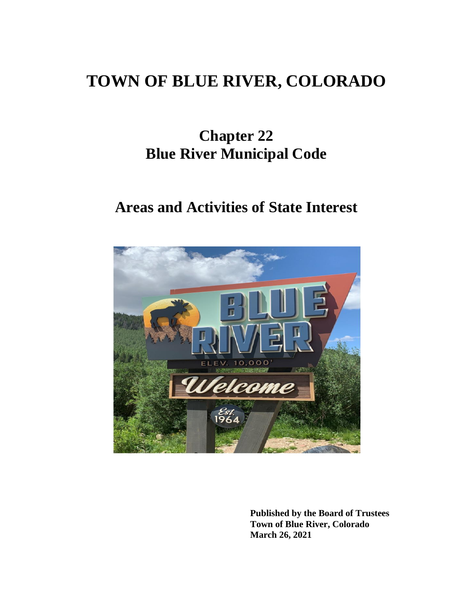# **TOWN OF BLUE RIVER, COLORADO**

# **Chapter 22 Blue River Municipal Code**

# **Areas and Activities of State Interest**



**Published by the Board of Trustees Town of Blue River, Colorado March 26, 2021**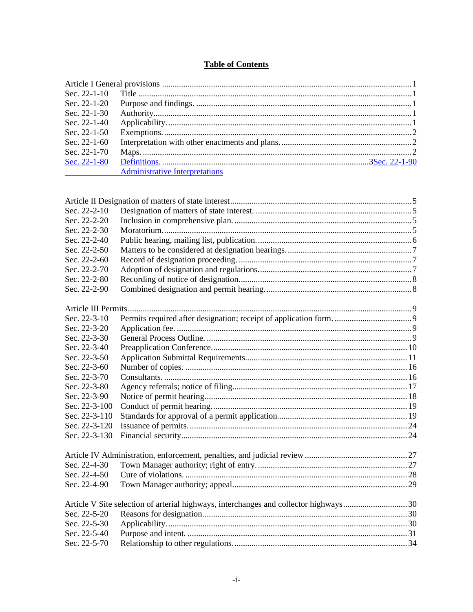# **Table of Contents**

| Sec. $22-1-10$ |                                       |  |
|----------------|---------------------------------------|--|
| Sec. 22-1-20   |                                       |  |
| Sec. $22-1-30$ |                                       |  |
| Sec. 22-1-40   |                                       |  |
| Sec. 22-1-50   |                                       |  |
| Sec. $22-1-60$ |                                       |  |
| Sec. 22-1-70   |                                       |  |
| Sec. 22-1-80   |                                       |  |
|                | <b>Administrative Interpretations</b> |  |
|                |                                       |  |

| Sec. 22-2-10  |                                                                                      |  |
|---------------|--------------------------------------------------------------------------------------|--|
| Sec. 22-2-20  |                                                                                      |  |
| Sec. 22-2-30  |                                                                                      |  |
| Sec. 22-2-40  |                                                                                      |  |
| Sec. 22-2-50  |                                                                                      |  |
| Sec. 22-2-60  |                                                                                      |  |
| Sec. 22-2-70  |                                                                                      |  |
| Sec. 22-2-80  |                                                                                      |  |
| Sec. 22-2-90  |                                                                                      |  |
|               |                                                                                      |  |
| Sec. 22-3-10  |                                                                                      |  |
| Sec. 22-3-20  |                                                                                      |  |
| Sec. 22-3-30  |                                                                                      |  |
| Sec. 22-3-40  |                                                                                      |  |
| Sec. 22-3-50  |                                                                                      |  |
| Sec. 22-3-60  |                                                                                      |  |
| Sec. 22-3-70  |                                                                                      |  |
| Sec. 22-3-80  |                                                                                      |  |
| Sec. 22-3-90  |                                                                                      |  |
| Sec. 22-3-100 |                                                                                      |  |
| Sec. 22-3-110 |                                                                                      |  |
| Sec. 22-3-120 |                                                                                      |  |
| Sec. 22-3-130 |                                                                                      |  |
|               |                                                                                      |  |
| Sec. 22-4-30  |                                                                                      |  |
| Sec. 22-4-50  |                                                                                      |  |
| Sec. 22-4-90  |                                                                                      |  |
|               | Article V Site selection of arterial highways, interchanges and collector highways30 |  |
| Sec. 22-5-20  |                                                                                      |  |
| Sec. 22-5-30  |                                                                                      |  |
| Sec. 22-5-40  |                                                                                      |  |
| Sec. 22-5-70  |                                                                                      |  |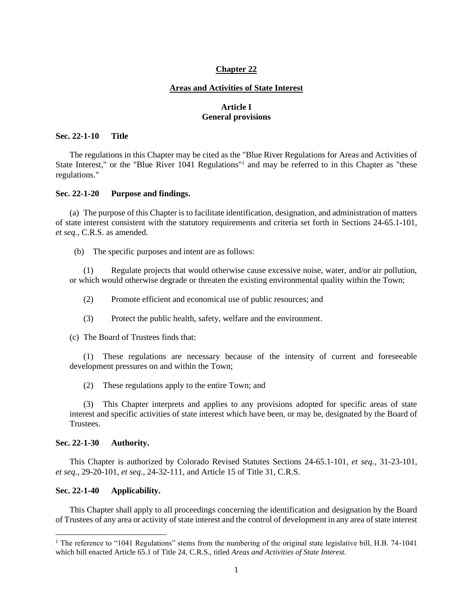## **Chapter 22**

#### **Areas and Activities of State Interest**

## **Article I General provisions**

## <span id="page-3-1"></span><span id="page-3-0"></span>**Sec. 22-1-10 Title**

The regulations in this Chapter may be cited as the "Blue River Regulations for Areas and Activities of State Interest," or the "Blue River 1041 Regulations"<sup>1</sup> and may be referred to in this Chapter as "these regulations."

#### <span id="page-3-2"></span>**Sec. 22-1-20 Purpose and findings.**

(a) The purpose of this Chapter is to facilitate identification, designation, and administration of matters of state interest consistent with the statutory requirements and criteria set forth in Sections 24-65.1-101, *et seq.*, C.R.S. as amended.

(b) The specific purposes and intent are as follows:

(1) Regulate projects that would otherwise cause excessive noise, water, and/or air pollution, or which would otherwise degrade or threaten the existing environmental quality within the Town;

(2) Promote efficient and economical use of public resources; and

(3) Protect the public health, safety, welfare and the environment.

(c) The Board of Trustees finds that:

(1) These regulations are necessary because of the intensity of current and foreseeable development pressures on and within the Town;

(2) These regulations apply to the entire Town; and

(3) This Chapter interprets and applies to any provisions adopted for specific areas of state interest and specific activities of state interest which have been, or may be, designated by the Board of Trustees.

#### <span id="page-3-3"></span>**Sec. 22-1-30 Authority.**

This Chapter is authorized by Colorado Revised Statutes Sections 24-65.1-101, *et seq.*, 31-23-101, *et seq.*, 29-20-101, *et seq.*, 24-32-111, and Article 15 of Title 31, C.R.S.

## <span id="page-3-4"></span>**Sec. 22-1-40 Applicability.**

This Chapter shall apply to all proceedings concerning the identification and designation by the Board of Trustees of any area or activity of state interest and the control of development in any area of state interest

<sup>&</sup>lt;sup>1</sup> The reference to "1041 Regulations" stems from the numbering of the original state legislative bill, H.B. 74-1041 which bill enacted Article 65.1 of Title 24, C.R.S., titled *Areas and Activities of State Interest*.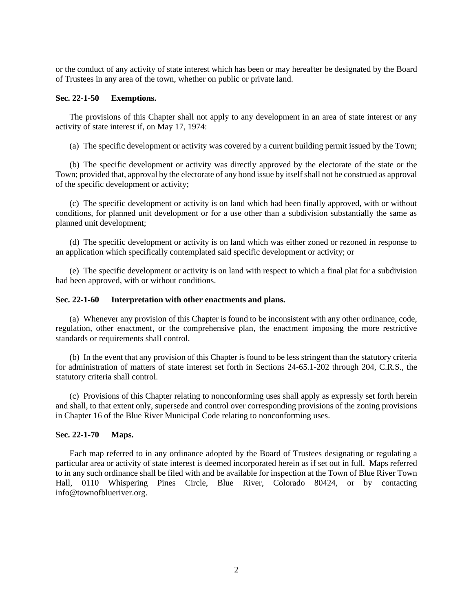or the conduct of any activity of state interest which has been or may hereafter be designated by the Board of Trustees in any area of the town, whether on public or private land.

#### <span id="page-4-0"></span>**Sec. 22-1-50 Exemptions.**

The provisions of this Chapter shall not apply to any development in an area of state interest or any activity of state interest if, on May 17, 1974:

(a) The specific development or activity was covered by a current building permit issued by the Town;

(b) The specific development or activity was directly approved by the electorate of the state or the Town; provided that, approval by the electorate of any bond issue by itself shall not be construed as approval of the specific development or activity;

(c) The specific development or activity is on land which had been finally approved, with or without conditions, for planned unit development or for a use other than a subdivision substantially the same as planned unit development;

(d) The specific development or activity is on land which was either zoned or rezoned in response to an application which specifically contemplated said specific development or activity; or

(e) The specific development or activity is on land with respect to which a final plat for a subdivision had been approved, with or without conditions.

#### <span id="page-4-1"></span>**Sec. 22-1-60 Interpretation with other enactments and plans.**

(a) Whenever any provision of this Chapter is found to be inconsistent with any other ordinance, code, regulation, other enactment, or the comprehensive plan, the enactment imposing the more restrictive standards or requirements shall control.

(b) In the event that any provision of this Chapter is found to be less stringent than the statutory criteria for administration of matters of state interest set forth in Sections 24-65.1-202 through 204, C.R.S., the statutory criteria shall control.

(c) Provisions of this Chapter relating to nonconforming uses shall apply as expressly set forth herein and shall, to that extent only, supersede and control over corresponding provisions of the zoning provisions in Chapter 16 of the Blue River Municipal Code relating to nonconforming uses.

#### <span id="page-4-2"></span>**Sec. 22-1-70 Maps.**

Each map referred to in any ordinance adopted by the Board of Trustees designating or regulating a particular area or activity of state interest is deemed incorporated herein as if set out in full. Maps referred to in any such ordinance shall be filed with and be available for inspection at the Town of Blue River Town Hall, 0110 Whispering Pines Circle, Blue River, Colorado 80424, or by contacting info@townofblueriver.org.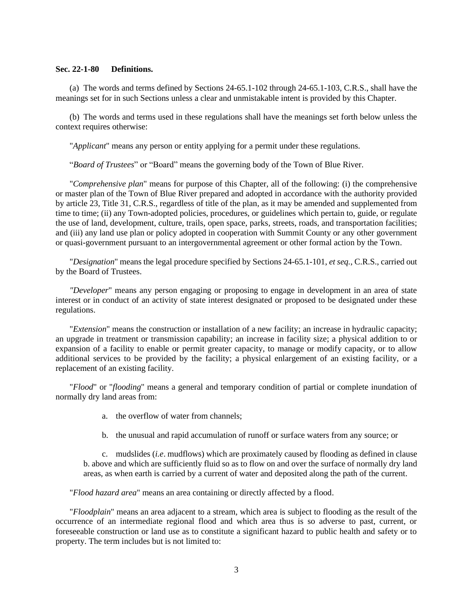## **Sec. 22-1-80 Definitions.**

(a) The words and terms defined by Sections 24-65.1-102 through 24-65.1-103, C.R.S., shall have the meanings set for in such Sections unless a clear and unmistakable intent is provided by this Chapter.

(b) The words and terms used in these regulations shall have the meanings set forth below unless the context requires otherwise:

"*Applicant*" means any person or entity applying for a permit under these regulations.

"*Board of Trustees*" or "Board" means the governing body of the Town of Blue River.

"*Comprehensive plan*" means for purpose of this Chapter, all of the following: (i) the comprehensive or master plan of the Town of Blue River prepared and adopted in accordance with the authority provided by article 23, Title 31, C.R.S., regardless of title of the plan, as it may be amended and supplemented from time to time; (ii) any Town-adopted policies, procedures, or guidelines which pertain to, guide, or regulate the use of land, development, culture, trails, open space, parks, streets, roads, and transportation facilities; and (iii) any land use plan or policy adopted in cooperation with Summit County or any other government or quasi-government pursuant to an intergovernmental agreement or other formal action by the Town.

"*Designation*" means the legal procedure specified by Sections 24-65.1-101, *et seq.*, C.R.S., carried out by the Board of Trustees.

*"Developer*" means any person engaging or proposing to engage in development in an area of state interest or in conduct of an activity of state interest designated or proposed to be designated under these regulations.

"*Extension*" means the construction or installation of a new facility; an increase in hydraulic capacity; an upgrade in treatment or transmission capability; an increase in facility size; a physical addition to or expansion of a facility to enable or permit greater capacity, to manage or modify capacity, or to allow additional services to be provided by the facility; a physical enlargement of an existing facility, or a replacement of an existing facility.

"*Flood*" or "*flooding*" means a general and temporary condition of partial or complete inundation of normally dry land areas from:

- a. the overflow of water from channels;
- b. the unusual and rapid accumulation of runoff or surface waters from any source; or

c. mudslides (*i.e*. mudflows) which are proximately caused by flooding as defined in clause b. above and which are sufficiently fluid so as to flow on and over the surface of normally dry land areas, as when earth is carried by a current of water and deposited along the path of the current.

"*Flood hazard area*" means an area containing or directly affected by a flood.

"*Floodplain*" means an area adjacent to a stream, which area is subject to flooding as the result of the occurrence of an intermediate regional flood and which area thus is so adverse to past, current, or foreseeable construction or land use as to constitute a significant hazard to public health and safety or to property. The term includes but is not limited to: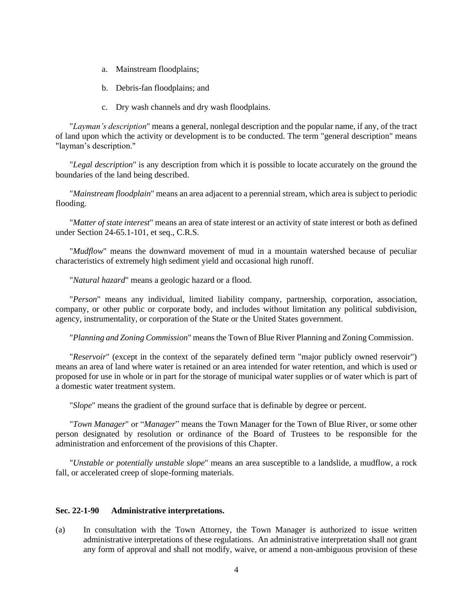- a. Mainstream floodplains;
- b. Debris-fan floodplains; and
- c. Dry wash channels and dry wash floodplains.

"*Layman's description*" means a general, nonlegal description and the popular name, if any, of the tract of land upon which the activity or development is to be conducted. The term "general description" means "layman's description."

"*Legal description*" is any description from which it is possible to locate accurately on the ground the boundaries of the land being described.

"*Mainstream floodplain*" means an area adjacent to a perennial stream, which area is subject to periodic flooding.

"*Matter of state interest*" means an area of state interest or an activity of state interest or both as defined under Section 24-65.1-101, et seq., C.R.S.

"*Mudflow*" means the downward movement of mud in a mountain watershed because of peculiar characteristics of extremely high sediment yield and occasional high runoff.

"*Natural hazard*" means a geologic hazard or a flood.

"*Person*" means any individual, limited liability company, partnership, corporation, association, company, or other public or corporate body, and includes without limitation any political subdivision, agency, instrumentality, or corporation of the State or the United States government.

"*Planning and Zoning Commission*" means the Town of Blue River Planning and Zoning Commission.

"*Reservoir*" (except in the context of the separately defined term "major publicly owned reservoir") means an area of land where water is retained or an area intended for water retention, and which is used or proposed for use in whole or in part for the storage of municipal water supplies or of water which is part of a domestic water treatment system.

"*Slope*" means the gradient of the ground surface that is definable by degree or percent.

"*Town Manager*" or "*Manager*" means the Town Manager for the Town of Blue River, or some other person designated by resolution or ordinance of the Board of Trustees to be responsible for the administration and enforcement of the provisions of this Chapter.

"*Unstable or potentially unstable slope*" means an area susceptible to a landslide, a mudflow, a rock fall, or accelerated creep of slope-forming materials.

## **Sec. 22-1-90 Administrative interpretations.**

(a) In consultation with the Town Attorney, the Town Manager is authorized to issue written administrative interpretations of these regulations. An administrative interpretation shall not grant any form of approval and shall not modify, waive, or amend a non-ambiguous provision of these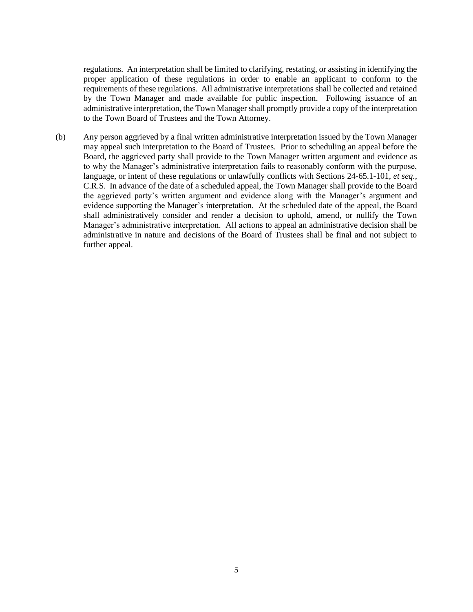regulations. An interpretation shall be limited to clarifying, restating, or assisting in identifying the proper application of these regulations in order to enable an applicant to conform to the requirements of these regulations. All administrative interpretations shall be collected and retained by the Town Manager and made available for public inspection. Following issuance of an administrative interpretation, the Town Manager shall promptly provide a copy of the interpretation to the Town Board of Trustees and the Town Attorney.

(b) Any person aggrieved by a final written administrative interpretation issued by the Town Manager may appeal such interpretation to the Board of Trustees. Prior to scheduling an appeal before the Board, the aggrieved party shall provide to the Town Manager written argument and evidence as to why the Manager's administrative interpretation fails to reasonably conform with the purpose, language, or intent of these regulations or unlawfully conflicts with Sections 24-65.1-101, *et seq.*, C.R.S. In advance of the date of a scheduled appeal, the Town Manager shall provide to the Board the aggrieved party's written argument and evidence along with the Manager's argument and evidence supporting the Manager's interpretation. At the scheduled date of the appeal, the Board shall administratively consider and render a decision to uphold, amend, or nullify the Town Manager's administrative interpretation. All actions to appeal an administrative decision shall be administrative in nature and decisions of the Board of Trustees shall be final and not subject to further appeal.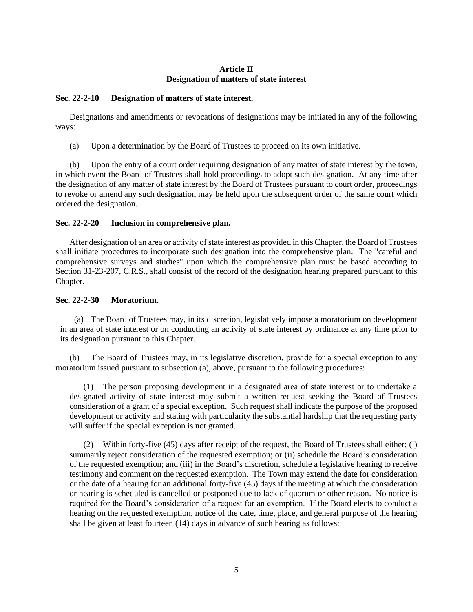## **Article II Designation of matters of state interest**

## <span id="page-8-1"></span><span id="page-8-0"></span>**Sec. 22-2-10 Designation of matters of state interest.**

Designations and amendments or revocations of designations may be initiated in any of the following ways:

(a) Upon a determination by the Board of Trustees to proceed on its own initiative.

(b) Upon the entry of a court order requiring designation of any matter of state interest by the town, in which event the Board of Trustees shall hold proceedings to adopt such designation. At any time after the designation of any matter of state interest by the Board of Trustees pursuant to court order, proceedings to revoke or amend any such designation may be held upon the subsequent order of the same court which ordered the designation.

## <span id="page-8-2"></span>**Sec. 22-2-20 Inclusion in comprehensive plan.**

After designation of an area or activity of state interest as provided in this Chapter, the Board of Trustees shall initiate procedures to incorporate such designation into the comprehensive plan. The "careful and comprehensive surveys and studies" upon which the comprehensive plan must be based according to Section 31-23-207, C.R.S., shall consist of the record of the designation hearing prepared pursuant to this Chapter.

## <span id="page-8-3"></span>**Sec. 22-2-30 Moratorium.**

(a) The Board of Trustees may, in its discretion, legislatively impose a moratorium on development in an area of state interest or on conducting an activity of state interest by ordinance at any time prior to its designation pursuant to this Chapter.

(b) The Board of Trustees may, in its legislative discretion, provide for a special exception to any moratorium issued pursuant to subsection (a), above, pursuant to the following procedures:

(1) The person proposing development in a designated area of state interest or to undertake a designated activity of state interest may submit a written request seeking the Board of Trustees consideration of a grant of a special exception. Such request shall indicate the purpose of the proposed development or activity and stating with particularity the substantial hardship that the requesting party will suffer if the special exception is not granted.

(2) Within forty-five (45) days after receipt of the request, the Board of Trustees shall either: (i) summarily reject consideration of the requested exemption; or (ii) schedule the Board's consideration of the requested exemption; and (iii) in the Board's discretion, schedule a legislative hearing to receive testimony and comment on the requested exemption. The Town may extend the date for consideration or the date of a hearing for an additional forty-five (45) days if the meeting at which the consideration or hearing is scheduled is cancelled or postponed due to lack of quorum or other reason. No notice is required for the Board's consideration of a request for an exemption. If the Board elects to conduct a hearing on the requested exemption, notice of the date, time, place, and general purpose of the hearing shall be given at least fourteen (14) days in advance of such hearing as follows: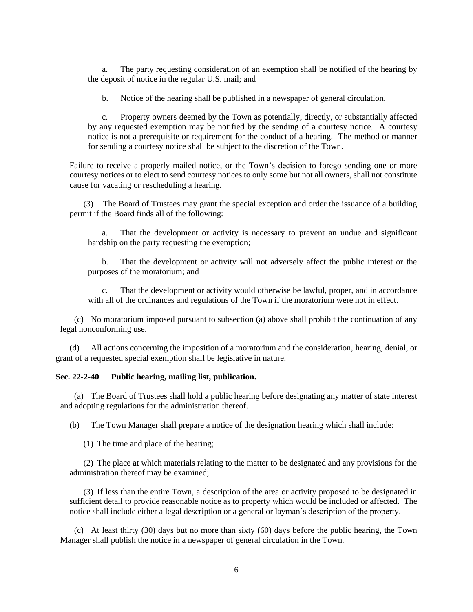a. The party requesting consideration of an exemption shall be notified of the hearing by the deposit of notice in the regular U.S. mail; and

b. Notice of the hearing shall be published in a newspaper of general circulation.

c. Property owners deemed by the Town as potentially, directly, or substantially affected by any requested exemption may be notified by the sending of a courtesy notice. A courtesy notice is not a prerequisite or requirement for the conduct of a hearing. The method or manner for sending a courtesy notice shall be subject to the discretion of the Town.

Failure to receive a properly mailed notice, or the Town's decision to forego sending one or more courtesy notices or to elect to send courtesy notices to only some but not all owners, shall not constitute cause for vacating or rescheduling a hearing.

(3) The Board of Trustees may grant the special exception and order the issuance of a building permit if the Board finds all of the following:

a. That the development or activity is necessary to prevent an undue and significant hardship on the party requesting the exemption;

b. That the development or activity will not adversely affect the public interest or the purposes of the moratorium; and

c. That the development or activity would otherwise be lawful, proper, and in accordance with all of the ordinances and regulations of the Town if the moratorium were not in effect.

(c) No moratorium imposed pursuant to subsection (a) above shall prohibit the continuation of any legal nonconforming use.

(d) All actions concerning the imposition of a moratorium and the consideration, hearing, denial, or grant of a requested special exemption shall be legislative in nature.

## <span id="page-9-0"></span>**Sec. 22-2-40 Public hearing, mailing list, publication.**

(a) The Board of Trustees shall hold a public hearing before designating any matter of state interest and adopting regulations for the administration thereof.

(b) The Town Manager shall prepare a notice of the designation hearing which shall include:

(1) The time and place of the hearing;

(2) The place at which materials relating to the matter to be designated and any provisions for the administration thereof may be examined;

(3) If less than the entire Town, a description of the area or activity proposed to be designated in sufficient detail to provide reasonable notice as to property which would be included or affected. The notice shall include either a legal description or a general or layman's description of the property.

(c) At least thirty (30) days but no more than sixty (60) days before the public hearing, the Town Manager shall publish the notice in a newspaper of general circulation in the Town.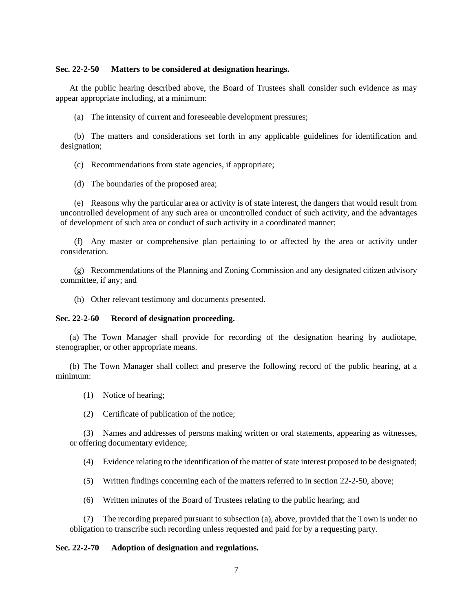## <span id="page-10-0"></span>**Sec. 22-2-50 Matters to be considered at designation hearings.**

At the public hearing described above, the Board of Trustees shall consider such evidence as may appear appropriate including, at a minimum:

(a) The intensity of current and foreseeable development pressures;

(b) The matters and considerations set forth in any applicable guidelines for identification and designation;

(c) Recommendations from state agencies, if appropriate;

(d) The boundaries of the proposed area;

(e) Reasons why the particular area or activity is of state interest, the dangers that would result from uncontrolled development of any such area or uncontrolled conduct of such activity, and the advantages of development of such area or conduct of such activity in a coordinated manner;

(f) Any master or comprehensive plan pertaining to or affected by the area or activity under consideration.

(g) Recommendations of the Planning and Zoning Commission and any designated citizen advisory committee, if any; and

(h) Other relevant testimony and documents presented.

#### <span id="page-10-1"></span>**Sec. 22-2-60 Record of designation proceeding.**

(a) The Town Manager shall provide for recording of the designation hearing by audiotape, stenographer, or other appropriate means.

(b) The Town Manager shall collect and preserve the following record of the public hearing, at a minimum:

- (1) Notice of hearing;
- (2) Certificate of publication of the notice;

(3) Names and addresses of persons making written or oral statements, appearing as witnesses, or offering documentary evidence;

(4) Evidence relating to the identification of the matter of state interest proposed to be designated;

(5) Written findings concerning each of the matters referred to in section 22-2-50, above;

(6) Written minutes of the Board of Trustees relating to the public hearing; and

(7) The recording prepared pursuant to subsection (a), above, provided that the Town is under no obligation to transcribe such recording unless requested and paid for by a requesting party.

## <span id="page-10-2"></span>**Sec. 22-2-70 Adoption of designation and regulations.**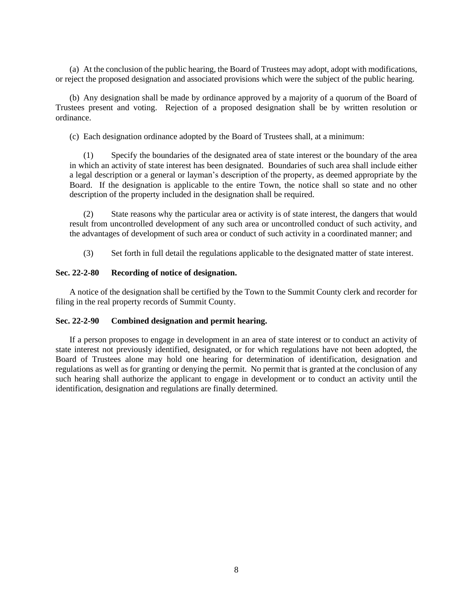(a) At the conclusion of the public hearing, the Board of Trustees may adopt, adopt with modifications, or reject the proposed designation and associated provisions which were the subject of the public hearing.

(b) Any designation shall be made by ordinance approved by a majority of a quorum of the Board of Trustees present and voting. Rejection of a proposed designation shall be by written resolution or ordinance.

(c) Each designation ordinance adopted by the Board of Trustees shall, at a minimum:

(1) Specify the boundaries of the designated area of state interest or the boundary of the area in which an activity of state interest has been designated. Boundaries of such area shall include either a legal description or a general or layman's description of the property, as deemed appropriate by the Board. If the designation is applicable to the entire Town, the notice shall so state and no other description of the property included in the designation shall be required.

(2) State reasons why the particular area or activity is of state interest, the dangers that would result from uncontrolled development of any such area or uncontrolled conduct of such activity, and the advantages of development of such area or conduct of such activity in a coordinated manner; and

(3) Set forth in full detail the regulations applicable to the designated matter of state interest.

## <span id="page-11-0"></span>**Sec. 22-2-80 Recording of notice of designation.**

A notice of the designation shall be certified by the Town to the Summit County clerk and recorder for filing in the real property records of Summit County.

## <span id="page-11-1"></span>**Sec. 22-2-90 Combined designation and permit hearing.**

If a person proposes to engage in development in an area of state interest or to conduct an activity of state interest not previously identified, designated, or for which regulations have not been adopted, the Board of Trustees alone may hold one hearing for determination of identification, designation and regulations as well as for granting or denying the permit. No permit that is granted at the conclusion of any such hearing shall authorize the applicant to engage in development or to conduct an activity until the identification, designation and regulations are finally determined.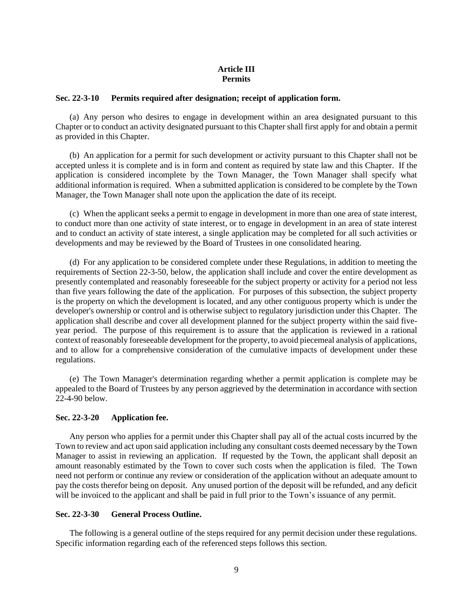## **Article III Permits**

#### <span id="page-12-1"></span><span id="page-12-0"></span>**Sec. 22-3-10 Permits required after designation; receipt of application form.**

(a) Any person who desires to engage in development within an area designated pursuant to this Chapter or to conduct an activity designated pursuant to this Chapter shall first apply for and obtain a permit as provided in this Chapter.

(b) An application for a permit for such development or activity pursuant to this Chapter shall not be accepted unless it is complete and is in form and content as required by state law and this Chapter. If the application is considered incomplete by the Town Manager, the Town Manager shall specify what additional information is required. When a submitted application is considered to be complete by the Town Manager, the Town Manager shall note upon the application the date of its receipt.

(c) When the applicant seeks a permit to engage in development in more than one area of state interest, to conduct more than one activity of state interest, or to engage in development in an area of state interest and to conduct an activity of state interest, a single application may be completed for all such activities or developments and may be reviewed by the Board of Trustees in one consolidated hearing.

(d) For any application to be considered complete under these Regulations, in addition to meeting the requirements of Section 22-3-50, below, the application shall include and cover the entire development as presently contemplated and reasonably foreseeable for the subject property or activity for a period not less than five years following the date of the application. For purposes of this subsection, the subject property is the property on which the development is located, and any other contiguous property which is under the developer's ownership or control and is otherwise subject to regulatory jurisdiction under this Chapter. The application shall describe and cover all development planned for the subject property within the said fiveyear period. The purpose of this requirement is to assure that the application is reviewed in a rational context of reasonably foreseeable development for the property, to avoid piecemeal analysis of applications, and to allow for a comprehensive consideration of the cumulative impacts of development under these regulations.

(e) The Town Manager's determination regarding whether a permit application is complete may be appealed to the Board of Trustees by any person aggrieved by the determination in accordance with section 22-4-90 below.

## <span id="page-12-2"></span>**Sec. 22-3-20 Application fee.**

Any person who applies for a permit under this Chapter shall pay all of the actual costs incurred by the Town to review and act upon said application including any consultant costs deemed necessary by the Town Manager to assist in reviewing an application. If requested by the Town, the applicant shall deposit an amount reasonably estimated by the Town to cover such costs when the application is filed. The Town need not perform or continue any review or consideration of the application without an adequate amount to pay the costs therefor being on deposit. Any unused portion of the deposit will be refunded, and any deficit will be invoiced to the applicant and shall be paid in full prior to the Town's issuance of any permit.

#### <span id="page-12-3"></span>**Sec. 22-3-30 General Process Outline.**

The following is a general outline of the steps required for any permit decision under these regulations. Specific information regarding each of the referenced steps follows this section.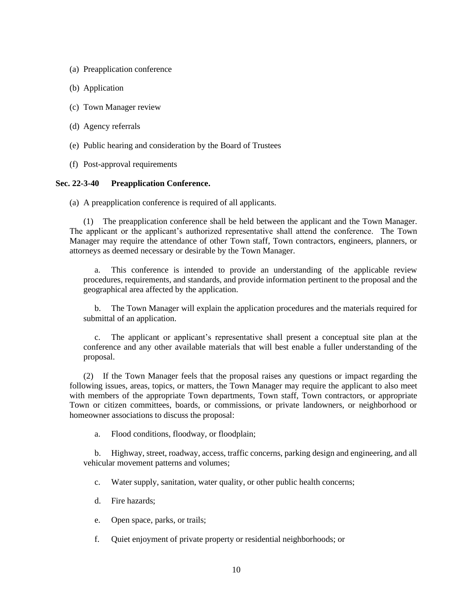- (a) Preapplication conference
- (b) Application
- (c) Town Manager review
- (d) Agency referrals
- (e) Public hearing and consideration by the Board of Trustees
- (f) Post-approval requirements

#### <span id="page-13-0"></span>**Sec. 22-3-40 Preapplication Conference.**

(a) A preapplication conference is required of all applicants.

(1) The preapplication conference shall be held between the applicant and the Town Manager. The applicant or the applicant's authorized representative shall attend the conference. The Town Manager may require the attendance of other Town staff, Town contractors, engineers, planners, or attorneys as deemed necessary or desirable by the Town Manager.

a. This conference is intended to provide an understanding of the applicable review procedures, requirements, and standards, and provide information pertinent to the proposal and the geographical area affected by the application.

b. The Town Manager will explain the application procedures and the materials required for submittal of an application.

c. The applicant or applicant's representative shall present a conceptual site plan at the conference and any other available materials that will best enable a fuller understanding of the proposal.

(2) If the Town Manager feels that the proposal raises any questions or impact regarding the following issues, areas, topics, or matters, the Town Manager may require the applicant to also meet with members of the appropriate Town departments, Town staff, Town contractors, or appropriate Town or citizen committees, boards, or commissions, or private landowners, or neighborhood or homeowner associations to discuss the proposal:

a. Flood conditions, floodway, or floodplain;

b. Highway, street, roadway, access, traffic concerns, parking design and engineering, and all vehicular movement patterns and volumes;

- c. Water supply, sanitation, water quality, or other public health concerns;
- d. Fire hazards;
- e. Open space, parks, or trails;
- f. Quiet enjoyment of private property or residential neighborhoods; or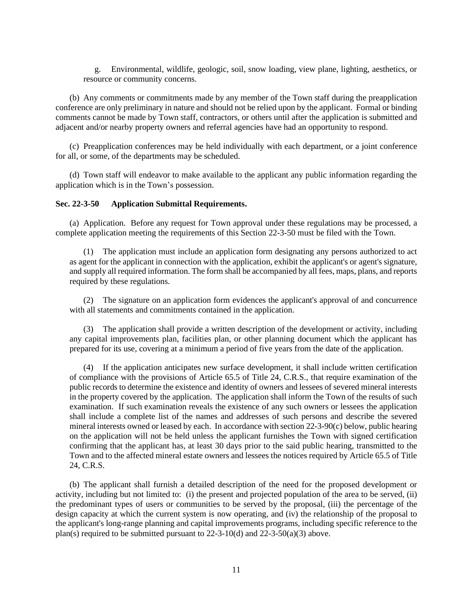g. Environmental, wildlife, geologic, soil, snow loading, view plane, lighting, aesthetics, or resource or community concerns.

(b) Any comments or commitments made by any member of the Town staff during the preapplication conference are only preliminary in nature and should not be relied upon by the applicant. Formal or binding comments cannot be made by Town staff, contractors, or others until after the application is submitted and adjacent and/or nearby property owners and referral agencies have had an opportunity to respond.

(c) Preapplication conferences may be held individually with each department, or a joint conference for all, or some, of the departments may be scheduled.

(d) Town staff will endeavor to make available to the applicant any public information regarding the application which is in the Town's possession.

#### <span id="page-14-0"></span>**Sec. 22-3-50 Application Submittal Requirements.**

(a) Application. Before any request for Town approval under these regulations may be processed, a complete application meeting the requirements of this Section 22-3-50 must be filed with the Town.

(1) The application must include an application form designating any persons authorized to act as agent for the applicant in connection with the application, exhibit the applicant's or agent's signature, and supply all required information. The form shall be accompanied by all fees, maps, plans, and reports required by these regulations.

(2) The signature on an application form evidences the applicant's approval of and concurrence with all statements and commitments contained in the application.

(3) The application shall provide a written description of the development or activity, including any capital improvements plan, facilities plan, or other planning document which the applicant has prepared for its use, covering at a minimum a period of five years from the date of the application.

(4) If the application anticipates new surface development, it shall include written certification of compliance with the provisions of Article 65.5 of Title 24, C.R.S., that require examination of the public records to determine the existence and identity of owners and lessees of severed mineral interests in the property covered by the application. The application shall inform the Town of the results of such examination. If such examination reveals the existence of any such owners or lessees the application shall include a complete list of the names and addresses of such persons and describe the severed mineral interests owned or leased by each. In accordance with section 22-3-90(c) below, public hearing on the application will not be held unless the applicant furnishes the Town with signed certification confirming that the applicant has, at least 30 days prior to the said public hearing, transmitted to the Town and to the affected mineral estate owners and lessees the notices required by Article 65.5 of Title 24, C.R.S.

(b) The applicant shall furnish a detailed description of the need for the proposed development or activity, including but not limited to: (i) the present and projected population of the area to be served, (ii) the predominant types of users or communities to be served by the proposal, (iii) the percentage of the design capacity at which the current system is now operating, and (iv) the relationship of the proposal to the applicant's long-range planning and capital improvements programs, including specific reference to the plan(s) required to be submitted pursuant to  $22-3-10(d)$  and  $22-3-50(a)(3)$  above.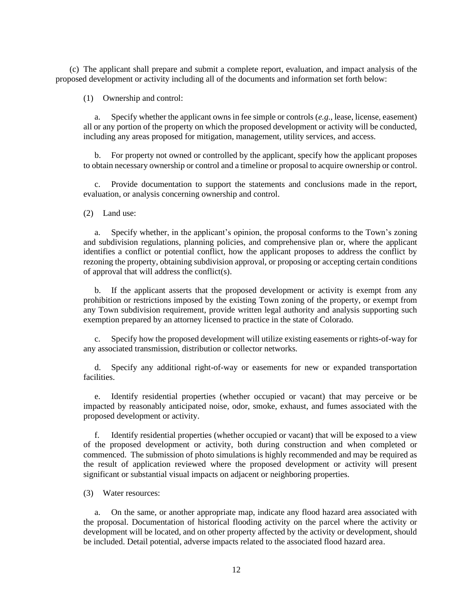(c) The applicant shall prepare and submit a complete report, evaluation, and impact analysis of the proposed development or activity including all of the documents and information set forth below:

(1) Ownership and control:

a. Specify whether the applicant owns in fee simple or controls (*e.g.*, lease, license, easement) all or any portion of the property on which the proposed development or activity will be conducted, including any areas proposed for mitigation, management, utility services, and access.

b. For property not owned or controlled by the applicant, specify how the applicant proposes to obtain necessary ownership or control and a timeline or proposal to acquire ownership or control.

c. Provide documentation to support the statements and conclusions made in the report, evaluation, or analysis concerning ownership and control.

(2) Land use:

a. Specify whether, in the applicant's opinion, the proposal conforms to the Town's zoning and subdivision regulations, planning policies, and comprehensive plan or, where the applicant identifies a conflict or potential conflict, how the applicant proposes to address the conflict by rezoning the property, obtaining subdivision approval, or proposing or accepting certain conditions of approval that will address the conflict(s).

b. If the applicant asserts that the proposed development or activity is exempt from any prohibition or restrictions imposed by the existing Town zoning of the property, or exempt from any Town subdivision requirement, provide written legal authority and analysis supporting such exemption prepared by an attorney licensed to practice in the state of Colorado.

c. Specify how the proposed development will utilize existing easements or rights-of-way for any associated transmission, distribution or collector networks.

d. Specify any additional right-of-way or easements for new or expanded transportation facilities.

e. Identify residential properties (whether occupied or vacant) that may perceive or be impacted by reasonably anticipated noise, odor, smoke, exhaust, and fumes associated with the proposed development or activity.

f. Identify residential properties (whether occupied or vacant) that will be exposed to a view of the proposed development or activity, both during construction and when completed or commenced. The submission of photo simulations is highly recommended and may be required as the result of application reviewed where the proposed development or activity will present significant or substantial visual impacts on adjacent or neighboring properties.

(3) Water resources:

a. On the same, or another appropriate map, indicate any flood hazard area associated with the proposal. Documentation of historical flooding activity on the parcel where the activity or development will be located, and on other property affected by the activity or development, should be included. Detail potential, adverse impacts related to the associated flood hazard area.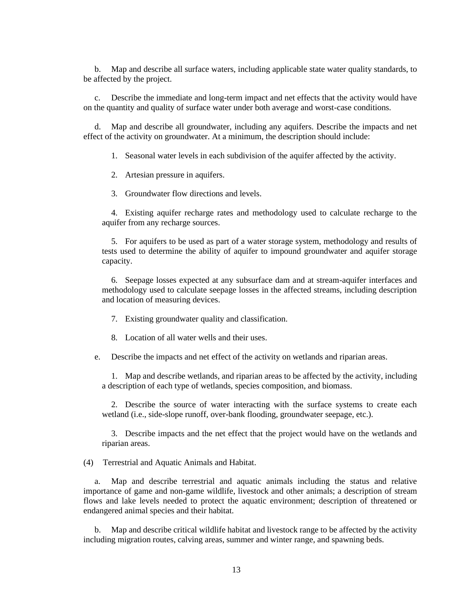b. Map and describe all surface waters, including applicable state water quality standards, to be affected by the project.

c. Describe the immediate and long-term impact and net effects that the activity would have on the quantity and quality of surface water under both average and worst-case conditions.

d. Map and describe all groundwater, including any aquifers. Describe the impacts and net effect of the activity on groundwater. At a minimum, the description should include:

1. Seasonal water levels in each subdivision of the aquifer affected by the activity.

2. Artesian pressure in aquifers.

3. Groundwater flow directions and levels.

4. Existing aquifer recharge rates and methodology used to calculate recharge to the aquifer from any recharge sources.

5. For aquifers to be used as part of a water storage system, methodology and results of tests used to determine the ability of aquifer to impound groundwater and aquifer storage capacity.

6. Seepage losses expected at any subsurface dam and at stream-aquifer interfaces and methodology used to calculate seepage losses in the affected streams, including description and location of measuring devices.

- 7. Existing groundwater quality and classification.
- 8. Location of all water wells and their uses.

e. Describe the impacts and net effect of the activity on wetlands and riparian areas.

1. Map and describe wetlands, and riparian areas to be affected by the activity, including a description of each type of wetlands, species composition, and biomass.

2. Describe the source of water interacting with the surface systems to create each wetland (i.e., side-slope runoff, over-bank flooding, groundwater seepage, etc.).

3. Describe impacts and the net effect that the project would have on the wetlands and riparian areas.

(4) Terrestrial and Aquatic Animals and Habitat.

a. Map and describe terrestrial and aquatic animals including the status and relative importance of game and non-game wildlife, livestock and other animals; a description of stream flows and lake levels needed to protect the aquatic environment; description of threatened or endangered animal species and their habitat.

b. Map and describe critical wildlife habitat and livestock range to be affected by the activity including migration routes, calving areas, summer and winter range, and spawning beds.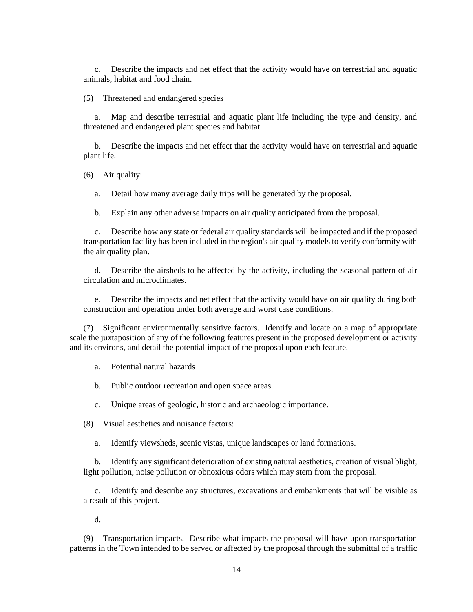c. Describe the impacts and net effect that the activity would have on terrestrial and aquatic animals, habitat and food chain.

(5) Threatened and endangered species

a. Map and describe terrestrial and aquatic plant life including the type and density, and threatened and endangered plant species and habitat.

b. Describe the impacts and net effect that the activity would have on terrestrial and aquatic plant life.

(6) Air quality:

a. Detail how many average daily trips will be generated by the proposal.

b. Explain any other adverse impacts on air quality anticipated from the proposal.

c. Describe how any state or federal air quality standards will be impacted and if the proposed transportation facility has been included in the region's air quality models to verify conformity with the air quality plan.

d. Describe the airsheds to be affected by the activity, including the seasonal pattern of air circulation and microclimates.

e. Describe the impacts and net effect that the activity would have on air quality during both construction and operation under both average and worst case conditions.

(7) Significant environmentally sensitive factors. Identify and locate on a map of appropriate scale the juxtaposition of any of the following features present in the proposed development or activity and its environs, and detail the potential impact of the proposal upon each feature.

a. Potential natural hazards

b. Public outdoor recreation and open space areas.

c. Unique areas of geologic, historic and archaeologic importance.

(8) Visual aesthetics and nuisance factors:

a. Identify viewsheds, scenic vistas, unique landscapes or land formations.

b. Identify any significant deterioration of existing natural aesthetics, creation of visual blight, light pollution, noise pollution or obnoxious odors which may stem from the proposal.

c. Identify and describe any structures, excavations and embankments that will be visible as a result of this project.

d.

(9) Transportation impacts. Describe what impacts the proposal will have upon transportation patterns in the Town intended to be served or affected by the proposal through the submittal of a traffic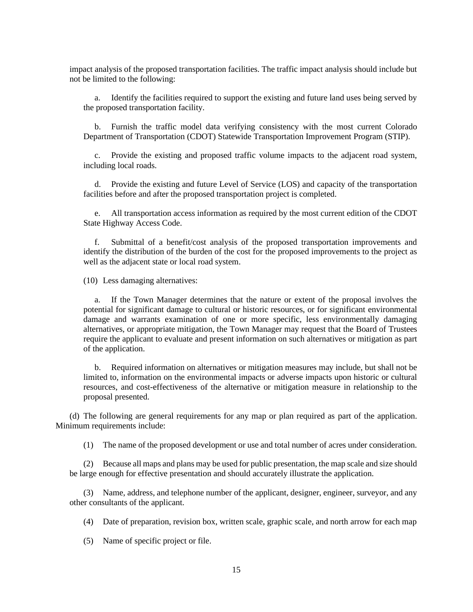impact analysis of the proposed transportation facilities. The traffic impact analysis should include but not be limited to the following:

a. Identify the facilities required to support the existing and future land uses being served by the proposed transportation facility.

b. Furnish the traffic model data verifying consistency with the most current Colorado Department of Transportation (CDOT) Statewide Transportation Improvement Program (STIP).

c. Provide the existing and proposed traffic volume impacts to the adjacent road system, including local roads.

d. Provide the existing and future Level of Service (LOS) and capacity of the transportation facilities before and after the proposed transportation project is completed.

e. All transportation access information as required by the most current edition of the CDOT State Highway Access Code.

f. Submittal of a benefit/cost analysis of the proposed transportation improvements and identify the distribution of the burden of the cost for the proposed improvements to the project as well as the adjacent state or local road system.

(10) Less damaging alternatives:

a. If the Town Manager determines that the nature or extent of the proposal involves the potential for significant damage to cultural or historic resources, or for significant environmental damage and warrants examination of one or more specific, less environmentally damaging alternatives, or appropriate mitigation, the Town Manager may request that the Board of Trustees require the applicant to evaluate and present information on such alternatives or mitigation as part of the application.

b. Required information on alternatives or mitigation measures may include, but shall not be limited to, information on the environmental impacts or adverse impacts upon historic or cultural resources, and cost-effectiveness of the alternative or mitigation measure in relationship to the proposal presented.

(d) The following are general requirements for any map or plan required as part of the application. Minimum requirements include:

(1) The name of the proposed development or use and total number of acres under consideration.

(2) Because all maps and plans may be used for public presentation, the map scale and size should be large enough for effective presentation and should accurately illustrate the application.

(3) Name, address, and telephone number of the applicant, designer, engineer, surveyor, and any other consultants of the applicant.

(4) Date of preparation, revision box, written scale, graphic scale, and north arrow for each map

(5) Name of specific project or file.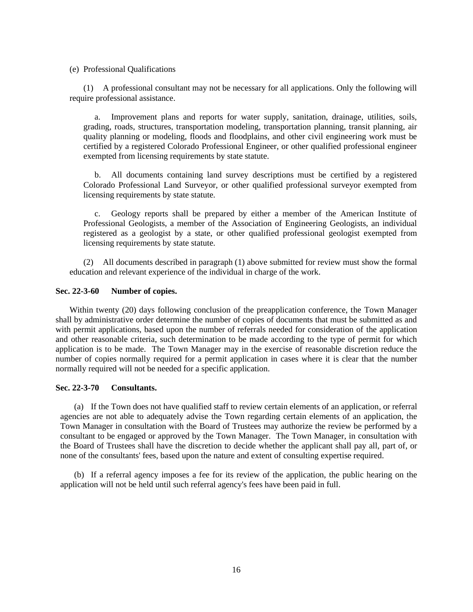#### (e) Professional Qualifications

(1) A professional consultant may not be necessary for all applications. Only the following will require professional assistance.

a. Improvement plans and reports for water supply, sanitation, drainage, utilities, soils, grading, roads, structures, transportation modeling, transportation planning, transit planning, air quality planning or modeling, floods and floodplains, and other civil engineering work must be certified by a registered Colorado Professional Engineer, or other qualified professional engineer exempted from licensing requirements by state statute.

b. All documents containing land survey descriptions must be certified by a registered Colorado Professional Land Surveyor, or other qualified professional surveyor exempted from licensing requirements by state statute.

c. Geology reports shall be prepared by either a member of the American Institute of Professional Geologists, a member of the Association of Engineering Geologists, an individual registered as a geologist by a state, or other qualified professional geologist exempted from licensing requirements by state statute.

(2) All documents described in paragraph (1) above submitted for review must show the formal education and relevant experience of the individual in charge of the work.

## <span id="page-19-0"></span>**Sec. 22-3-60 Number of copies.**

Within twenty (20) days following conclusion of the preapplication conference, the Town Manager shall by administrative order determine the number of copies of documents that must be submitted as and with permit applications, based upon the number of referrals needed for consideration of the application and other reasonable criteria, such determination to be made according to the type of permit for which application is to be made. The Town Manager may in the exercise of reasonable discretion reduce the number of copies normally required for a permit application in cases where it is clear that the number normally required will not be needed for a specific application.

## <span id="page-19-1"></span>**Sec. 22-3-70 Consultants.**

(a) If the Town does not have qualified staff to review certain elements of an application, or referral agencies are not able to adequately advise the Town regarding certain elements of an application, the Town Manager in consultation with the Board of Trustees may authorize the review be performed by a consultant to be engaged or approved by the Town Manager. The Town Manager, in consultation with the Board of Trustees shall have the discretion to decide whether the applicant shall pay all, part of, or none of the consultants' fees, based upon the nature and extent of consulting expertise required.

(b) If a referral agency imposes a fee for its review of the application, the public hearing on the application will not be held until such referral agency's fees have been paid in full.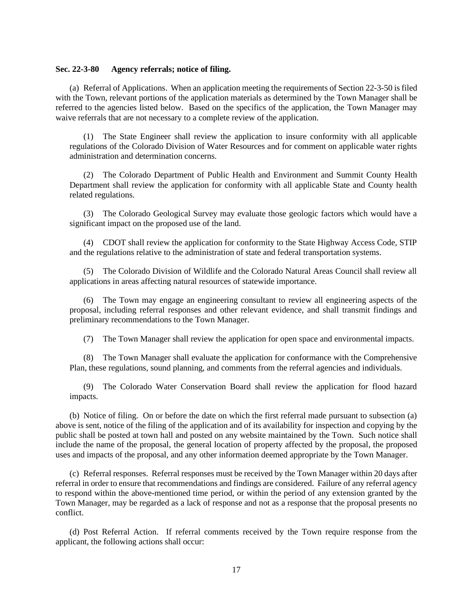#### <span id="page-20-0"></span>**Sec. 22-3-80 Agency referrals; notice of filing.**

(a) Referral of Applications. When an application meeting the requirements of Section 22-3-50 is filed with the Town, relevant portions of the application materials as determined by the Town Manager shall be referred to the agencies listed below. Based on the specifics of the application, the Town Manager may waive referrals that are not necessary to a complete review of the application.

(1) The State Engineer shall review the application to insure conformity with all applicable regulations of the Colorado Division of Water Resources and for comment on applicable water rights administration and determination concerns.

(2) The Colorado Department of Public Health and Environment and Summit County Health Department shall review the application for conformity with all applicable State and County health related regulations.

(3) The Colorado Geological Survey may evaluate those geologic factors which would have a significant impact on the proposed use of the land.

(4) CDOT shall review the application for conformity to the State Highway Access Code, STIP and the regulations relative to the administration of state and federal transportation systems.

(5) The Colorado Division of Wildlife and the Colorado Natural Areas Council shall review all applications in areas affecting natural resources of statewide importance.

(6) The Town may engage an engineering consultant to review all engineering aspects of the proposal, including referral responses and other relevant evidence, and shall transmit findings and preliminary recommendations to the Town Manager.

(7) The Town Manager shall review the application for open space and environmental impacts.

(8) The Town Manager shall evaluate the application for conformance with the Comprehensive Plan, these regulations, sound planning, and comments from the referral agencies and individuals.

(9) The Colorado Water Conservation Board shall review the application for flood hazard impacts.

(b) Notice of filing. On or before the date on which the first referral made pursuant to subsection (a) above is sent, notice of the filing of the application and of its availability for inspection and copying by the public shall be posted at town hall and posted on any website maintained by the Town. Such notice shall include the name of the proposal, the general location of property affected by the proposal, the proposed uses and impacts of the proposal, and any other information deemed appropriate by the Town Manager.

(c) Referral responses. Referral responses must be received by the Town Manager within 20 days after referral in order to ensure that recommendations and findings are considered. Failure of any referral agency to respond within the above-mentioned time period, or within the period of any extension granted by the Town Manager, may be regarded as a lack of response and not as a response that the proposal presents no conflict.

(d) Post Referral Action. If referral comments received by the Town require response from the applicant, the following actions shall occur: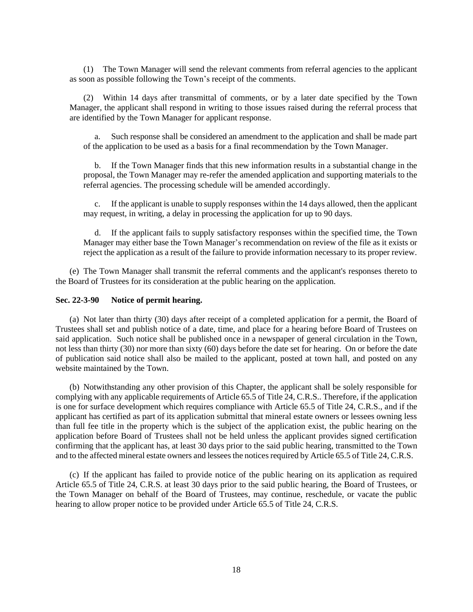(1) The Town Manager will send the relevant comments from referral agencies to the applicant as soon as possible following the Town's receipt of the comments.

(2) Within 14 days after transmittal of comments, or by a later date specified by the Town Manager, the applicant shall respond in writing to those issues raised during the referral process that are identified by the Town Manager for applicant response.

a. Such response shall be considered an amendment to the application and shall be made part of the application to be used as a basis for a final recommendation by the Town Manager.

b. If the Town Manager finds that this new information results in a substantial change in the proposal, the Town Manager may re-refer the amended application and supporting materials to the referral agencies. The processing schedule will be amended accordingly.

c. If the applicant is unable to supply responses within the 14 days allowed, then the applicant may request, in writing, a delay in processing the application for up to 90 days.

d. If the applicant fails to supply satisfactory responses within the specified time, the Town Manager may either base the Town Manager's recommendation on review of the file as it exists or reject the application as a result of the failure to provide information necessary to its proper review.

(e) The Town Manager shall transmit the referral comments and the applicant's responses thereto to the Board of Trustees for its consideration at the public hearing on the application.

#### <span id="page-21-0"></span>**Sec. 22-3-90 Notice of permit hearing.**

(a) Not later than thirty (30) days after receipt of a completed application for a permit, the Board of Trustees shall set and publish notice of a date, time, and place for a hearing before Board of Trustees on said application. Such notice shall be published once in a newspaper of general circulation in the Town, not less than thirty (30) nor more than sixty (60) days before the date set for hearing. On or before the date of publication said notice shall also be mailed to the applicant, posted at town hall, and posted on any website maintained by the Town.

(b) Notwithstanding any other provision of this Chapter, the applicant shall be solely responsible for complying with any applicable requirements of Article 65.5 of Title 24, C.R.S.. Therefore, if the application is one for surface development which requires compliance with Article 65.5 of Title 24, C.R.S., and if the applicant has certified as part of its application submittal that mineral estate owners or lessees owning less than full fee title in the property which is the subject of the application exist, the public hearing on the application before Board of Trustees shall not be held unless the applicant provides signed certification confirming that the applicant has, at least 30 days prior to the said public hearing, transmitted to the Town and to the affected mineral estate owners and lessees the notices required by Article 65.5 of Title 24, C.R.S.

(c) If the applicant has failed to provide notice of the public hearing on its application as required Article 65.5 of Title 24, C.R.S. at least 30 days prior to the said public hearing, the Board of Trustees, or the Town Manager on behalf of the Board of Trustees, may continue, reschedule, or vacate the public hearing to allow proper notice to be provided under Article 65.5 of Title 24, C.R.S.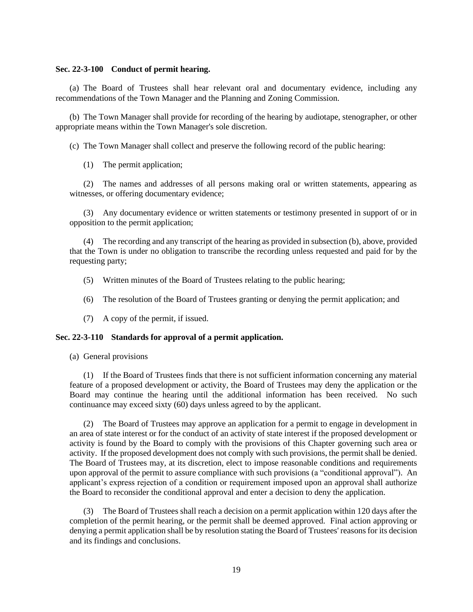#### <span id="page-22-0"></span>**Sec. 22-3-100 Conduct of permit hearing.**

(a) The Board of Trustees shall hear relevant oral and documentary evidence, including any recommendations of the Town Manager and the Planning and Zoning Commission.

(b) The Town Manager shall provide for recording of the hearing by audiotape, stenographer, or other appropriate means within the Town Manager's sole discretion.

(c) The Town Manager shall collect and preserve the following record of the public hearing:

(1) The permit application;

(2) The names and addresses of all persons making oral or written statements, appearing as witnesses, or offering documentary evidence;

(3) Any documentary evidence or written statements or testimony presented in support of or in opposition to the permit application;

(4) The recording and any transcript of the hearing as provided in subsection (b), above, provided that the Town is under no obligation to transcribe the recording unless requested and paid for by the requesting party;

- (5) Written minutes of the Board of Trustees relating to the public hearing;
- (6) The resolution of the Board of Trustees granting or denying the permit application; and
- (7) A copy of the permit, if issued.

#### <span id="page-22-1"></span>**Sec. 22-3-110 Standards for approval of a permit application.**

(a) General provisions

(1) If the Board of Trustees finds that there is not sufficient information concerning any material feature of a proposed development or activity, the Board of Trustees may deny the application or the Board may continue the hearing until the additional information has been received. No such continuance may exceed sixty (60) days unless agreed to by the applicant.

(2) The Board of Trustees may approve an application for a permit to engage in development in an area of state interest or for the conduct of an activity of state interest if the proposed development or activity is found by the Board to comply with the provisions of this Chapter governing such area or activity. If the proposed development does not comply with such provisions, the permit shall be denied. The Board of Trustees may, at its discretion, elect to impose reasonable conditions and requirements upon approval of the permit to assure compliance with such provisions (a "conditional approval"). An applicant's express rejection of a condition or requirement imposed upon an approval shall authorize the Board to reconsider the conditional approval and enter a decision to deny the application.

(3) The Board of Trustees shall reach a decision on a permit application within 120 days after the completion of the permit hearing, or the permit shall be deemed approved. Final action approving or denying a permit application shall be by resolution stating the Board of Trustees' reasons for its decision and its findings and conclusions.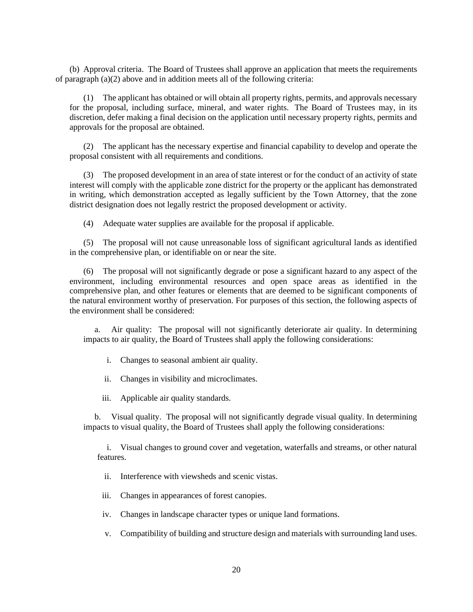(b) Approval criteria. The Board of Trustees shall approve an application that meets the requirements of paragraph (a)(2) above and in addition meets all of the following criteria:

(1) The applicant has obtained or will obtain all property rights, permits, and approvals necessary for the proposal, including surface, mineral, and water rights. The Board of Trustees may, in its discretion, defer making a final decision on the application until necessary property rights, permits and approvals for the proposal are obtained.

(2) The applicant has the necessary expertise and financial capability to develop and operate the proposal consistent with all requirements and conditions.

(3) The proposed development in an area of state interest or for the conduct of an activity of state interest will comply with the applicable zone district for the property or the applicant has demonstrated in writing, which demonstration accepted as legally sufficient by the Town Attorney, that the zone district designation does not legally restrict the proposed development or activity.

(4) Adequate water supplies are available for the proposal if applicable.

(5) The proposal will not cause unreasonable loss of significant agricultural lands as identified in the comprehensive plan, or identifiable on or near the site.

(6) The proposal will not significantly degrade or pose a significant hazard to any aspect of the environment, including environmental resources and open space areas as identified in the comprehensive plan, and other features or elements that are deemed to be significant components of the natural environment worthy of preservation. For purposes of this section, the following aspects of the environment shall be considered:

a. Air quality: The proposal will not significantly deteriorate air quality. In determining impacts to air quality, the Board of Trustees shall apply the following considerations:

i. Changes to seasonal ambient air quality.

ii. Changes in visibility and microclimates.

iii. Applicable air quality standards.

b. Visual quality. The proposal will not significantly degrade visual quality. In determining impacts to visual quality, the Board of Trustees shall apply the following considerations:

i. Visual changes to ground cover and vegetation, waterfalls and streams, or other natural features.

ii. Interference with viewsheds and scenic vistas.

iii. Changes in appearances of forest canopies.

iv. Changes in landscape character types or unique land formations.

v. Compatibility of building and structure design and materials with surrounding land uses.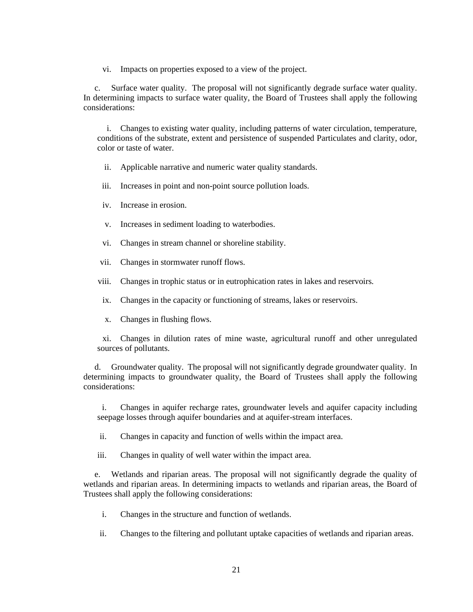vi. Impacts on properties exposed to a view of the project.

c. Surface water quality. The proposal will not significantly degrade surface water quality. In determining impacts to surface water quality, the Board of Trustees shall apply the following considerations:

i. Changes to existing water quality, including patterns of water circulation, temperature, conditions of the substrate, extent and persistence of suspended Particulates and clarity, odor, color or taste of water.

- ii. Applicable narrative and numeric water quality standards.
- iii. Increases in point and non-point source pollution loads.
- iv. Increase in erosion.
- v. Increases in sediment loading to waterbodies.
- vi. Changes in stream channel or shoreline stability.
- vii. Changes in stormwater runoff flows.
- viii. Changes in trophic status or in eutrophication rates in lakes and reservoirs.
- ix. Changes in the capacity or functioning of streams, lakes or reservoirs.
- x. Changes in flushing flows.

xi. Changes in dilution rates of mine waste, agricultural runoff and other unregulated sources of pollutants.

d. Groundwater quality. The proposal will not significantly degrade groundwater quality. In determining impacts to groundwater quality, the Board of Trustees shall apply the following considerations:

i. Changes in aquifer recharge rates, groundwater levels and aquifer capacity including seepage losses through aquifer boundaries and at aquifer-stream interfaces.

ii. Changes in capacity and function of wells within the impact area.

iii. Changes in quality of well water within the impact area.

e. Wetlands and riparian areas. The proposal will not significantly degrade the quality of wetlands and riparian areas. In determining impacts to wetlands and riparian areas, the Board of Trustees shall apply the following considerations:

- i. Changes in the structure and function of wetlands.
- ii. Changes to the filtering and pollutant uptake capacities of wetlands and riparian areas.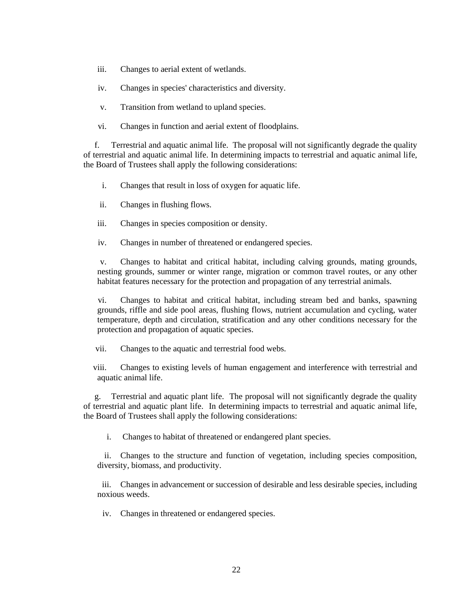- iii. Changes to aerial extent of wetlands.
- iv. Changes in species' characteristics and diversity.
- v. Transition from wetland to upland species.
- vi. Changes in function and aerial extent of floodplains.

f. Terrestrial and aquatic animal life. The proposal will not significantly degrade the quality of terrestrial and aquatic animal life. In determining impacts to terrestrial and aquatic animal life, the Board of Trustees shall apply the following considerations:

- i. Changes that result in loss of oxygen for aquatic life.
- ii. Changes in flushing flows.
- iii. Changes in species composition or density.
- iv. Changes in number of threatened or endangered species.

v. Changes to habitat and critical habitat, including calving grounds, mating grounds, nesting grounds, summer or winter range, migration or common travel routes, or any other habitat features necessary for the protection and propagation of any terrestrial animals.

vi. Changes to habitat and critical habitat, including stream bed and banks, spawning grounds, riffle and side pool areas, flushing flows, nutrient accumulation and cycling, water temperature, depth and circulation, stratification and any other conditions necessary for the protection and propagation of aquatic species.

vii. Changes to the aquatic and terrestrial food webs.

viii. Changes to existing levels of human engagement and interference with terrestrial and aquatic animal life.

g. Terrestrial and aquatic plant life. The proposal will not significantly degrade the quality of terrestrial and aquatic plant life. In determining impacts to terrestrial and aquatic animal life, the Board of Trustees shall apply the following considerations:

i. Changes to habitat of threatened or endangered plant species.

ii. Changes to the structure and function of vegetation, including species composition, diversity, biomass, and productivity.

iii. Changes in advancement or succession of desirable and less desirable species, including noxious weeds.

iv. Changes in threatened or endangered species.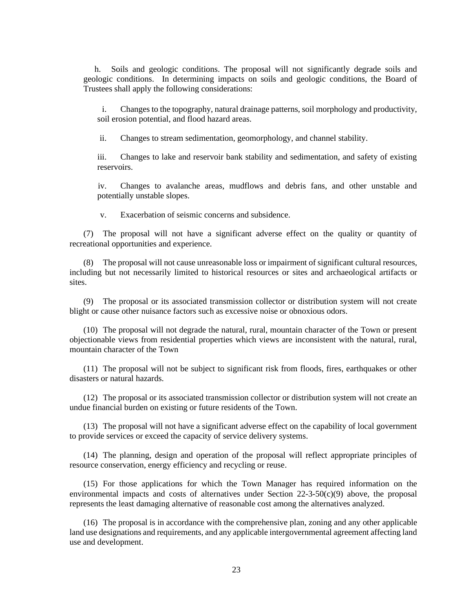h. Soils and geologic conditions. The proposal will not significantly degrade soils and geologic conditions. In determining impacts on soils and geologic conditions, the Board of Trustees shall apply the following considerations:

i. Changes to the topography, natural drainage patterns, soil morphology and productivity, soil erosion potential, and flood hazard areas.

ii. Changes to stream sedimentation, geomorphology, and channel stability.

iii. Changes to lake and reservoir bank stability and sedimentation, and safety of existing reservoirs.

iv. Changes to avalanche areas, mudflows and debris fans, and other unstable and potentially unstable slopes.

v. Exacerbation of seismic concerns and subsidence.

(7) The proposal will not have a significant adverse effect on the quality or quantity of recreational opportunities and experience.

(8) The proposal will not cause unreasonable loss or impairment of significant cultural resources, including but not necessarily limited to historical resources or sites and archaeological artifacts or sites.

(9) The proposal or its associated transmission collector or distribution system will not create blight or cause other nuisance factors such as excessive noise or obnoxious odors.

(10) The proposal will not degrade the natural, rural, mountain character of the Town or present objectionable views from residential properties which views are inconsistent with the natural, rural, mountain character of the Town

(11) The proposal will not be subject to significant risk from floods, fires, earthquakes or other disasters or natural hazards.

(12) The proposal or its associated transmission collector or distribution system will not create an undue financial burden on existing or future residents of the Town.

(13) The proposal will not have a significant adverse effect on the capability of local government to provide services or exceed the capacity of service delivery systems.

(14) The planning, design and operation of the proposal will reflect appropriate principles of resource conservation, energy efficiency and recycling or reuse.

(15) For those applications for which the Town Manager has required information on the environmental impacts and costs of alternatives under Section  $22-3-50(c)(9)$  above, the proposal represents the least damaging alternative of reasonable cost among the alternatives analyzed.

(16) The proposal is in accordance with the comprehensive plan, zoning and any other applicable land use designations and requirements, and any applicable intergovernmental agreement affecting land use and development.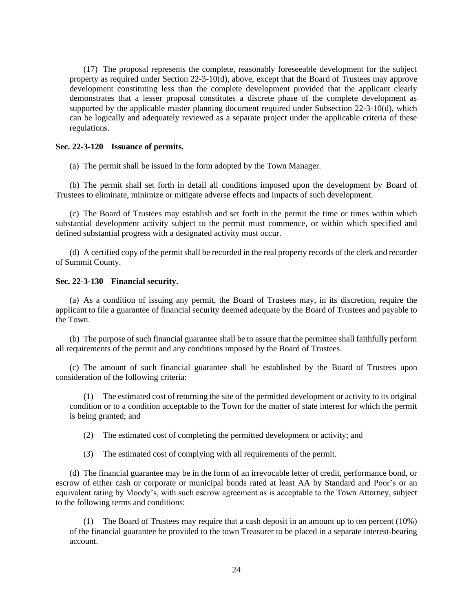(17) The proposal represents the complete, reasonably foreseeable development for the subject property as required under Section 22-3-10(d), above, except that the Board of Trustees may approve development constituting less than the complete development provided that the applicant clearly demonstrates that a lesser proposal constitutes a discrete phase of the complete development as supported by the applicable master planning document required under Subsection 22-3-10(d), which can be logically and adequately reviewed as a separate project under the applicable criteria of these regulations.

## <span id="page-27-0"></span>**Sec. 22-3-120 Issuance of permits.**

(a) The permit shall be issued in the form adopted by the Town Manager.

(b) The permit shall set forth in detail all conditions imposed upon the development by Board of Trustees to eliminate, minimize or mitigate adverse effects and impacts of such development.

(c) The Board of Trustees may establish and set forth in the permit the time or times within which substantial development activity subject to the permit must commence, or within which specified and defined substantial progress with a designated activity must occur.

(d) A certified copy of the permit shall be recorded in the real property records of the clerk and recorder of Summit County.

## <span id="page-27-1"></span>**Sec. 22-3-130 Financial security.**

(a) As a condition of issuing any permit, the Board of Trustees may, in its discretion, require the applicant to file a guarantee of financial security deemed adequate by the Board of Trustees and payable to the Town.

(b) The purpose of such financial guarantee shall be to assure that the permittee shall faithfully perform all requirements of the permit and any conditions imposed by the Board of Trustees.

(c) The amount of such financial guarantee shall be established by the Board of Trustees upon consideration of the following criteria:

(1) The estimated cost of returning the site of the permitted development or activity to its original condition or to a condition acceptable to the Town for the matter of state interest for which the permit is being granted; and

(2) The estimated cost of completing the permitted development or activity; and

(3) The estimated cost of complying with all requirements of the permit.

(d) The financial guarantee may be in the form of an irrevocable letter of credit, performance bond, or escrow of either cash or corporate or municipal bonds rated at least AA by Standard and Poor's or an equivalent rating by Moody's, with such escrow agreement as is acceptable to the Town Attorney, subject to the following terms and conditions:

(1) The Board of Trustees may require that a cash deposit in an amount up to ten percent (10%) of the financial guarantee be provided to the town Treasurer to be placed in a separate interest-bearing account.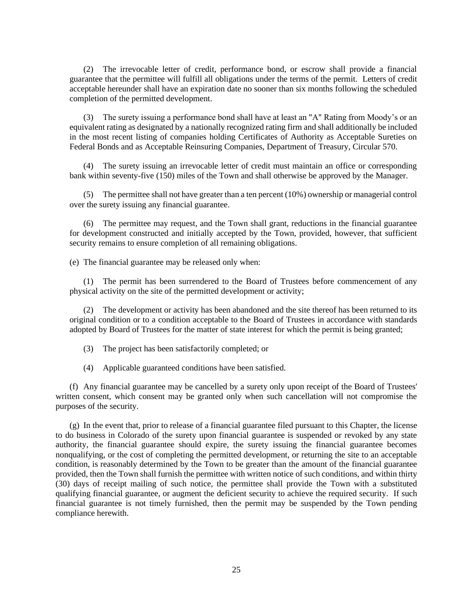(2) The irrevocable letter of credit, performance bond, or escrow shall provide a financial guarantee that the permittee will fulfill all obligations under the terms of the permit. Letters of credit acceptable hereunder shall have an expiration date no sooner than six months following the scheduled completion of the permitted development.

(3) The surety issuing a performance bond shall have at least an "A" Rating from Moody's or an equivalent rating as designated by a nationally recognized rating firm and shall additionally be included in the most recent listing of companies holding Certificates of Authority as Acceptable Sureties on Federal Bonds and as Acceptable Reinsuring Companies, Department of Treasury, Circular 570.

(4) The surety issuing an irrevocable letter of credit must maintain an office or corresponding bank within seventy-five (150) miles of the Town and shall otherwise be approved by the Manager.

(5) The permittee shall not have greater than a ten percent (10%) ownership or managerial control over the surety issuing any financial guarantee.

(6) The permittee may request, and the Town shall grant, reductions in the financial guarantee for development constructed and initially accepted by the Town, provided, however, that sufficient security remains to ensure completion of all remaining obligations.

(e) The financial guarantee may be released only when:

(1) The permit has been surrendered to the Board of Trustees before commencement of any physical activity on the site of the permitted development or activity;

(2) The development or activity has been abandoned and the site thereof has been returned to its original condition or to a condition acceptable to the Board of Trustees in accordance with standards adopted by Board of Trustees for the matter of state interest for which the permit is being granted;

- (3) The project has been satisfactorily completed; or
- (4) Applicable guaranteed conditions have been satisfied.

(f) Any financial guarantee may be cancelled by a surety only upon receipt of the Board of Trustees' written consent, which consent may be granted only when such cancellation will not compromise the purposes of the security.

(g) In the event that, prior to release of a financial guarantee filed pursuant to this Chapter, the license to do business in Colorado of the surety upon financial guarantee is suspended or revoked by any state authority, the financial guarantee should expire, the surety issuing the financial guarantee becomes nonqualifying, or the cost of completing the permitted development, or returning the site to an acceptable condition, is reasonably determined by the Town to be greater than the amount of the financial guarantee provided, then the Town shall furnish the permittee with written notice of such conditions, and within thirty (30) days of receipt mailing of such notice, the permittee shall provide the Town with a substituted qualifying financial guarantee, or augment the deficient security to achieve the required security. If such financial guarantee is not timely furnished, then the permit may be suspended by the Town pending compliance herewith.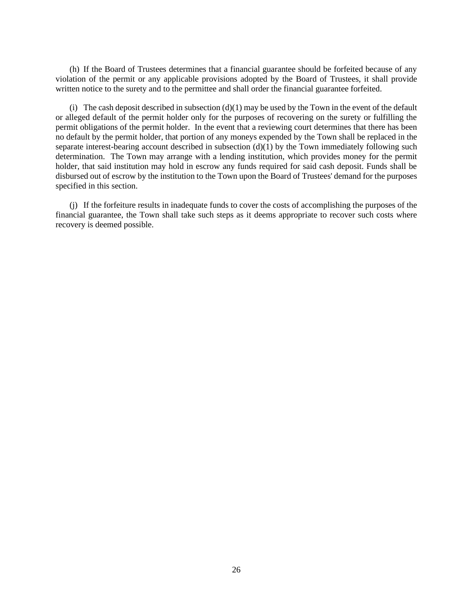(h) If the Board of Trustees determines that a financial guarantee should be forfeited because of any violation of the permit or any applicable provisions adopted by the Board of Trustees, it shall provide written notice to the surety and to the permittee and shall order the financial guarantee forfeited.

(i) The cash deposit described in subsection  $(d)(1)$  may be used by the Town in the event of the default or alleged default of the permit holder only for the purposes of recovering on the surety or fulfilling the permit obligations of the permit holder. In the event that a reviewing court determines that there has been no default by the permit holder, that portion of any moneys expended by the Town shall be replaced in the separate interest-bearing account described in subsection  $(d)(1)$  by the Town immediately following such determination. The Town may arrange with a lending institution, which provides money for the permit holder, that said institution may hold in escrow any funds required for said cash deposit. Funds shall be disbursed out of escrow by the institution to the Town upon the Board of Trustees' demand for the purposes specified in this section.

(j) If the forfeiture results in inadequate funds to cover the costs of accomplishing the purposes of the financial guarantee, the Town shall take such steps as it deems appropriate to recover such costs where recovery is deemed possible.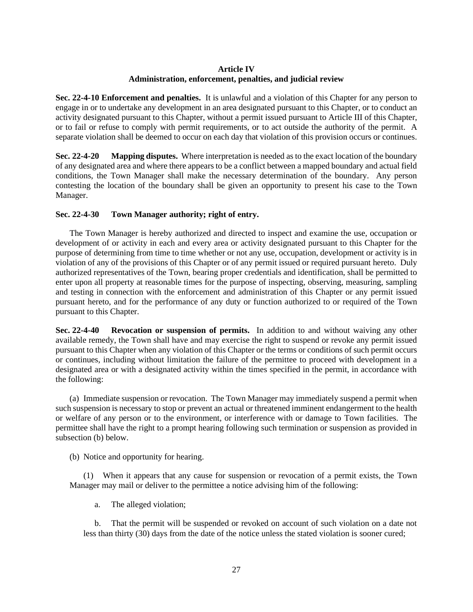# **Article IV Administration, enforcement, penalties, and judicial review**

<span id="page-30-0"></span>**Sec. 22-4-10 Enforcement and penalties.** It is unlawful and a violation of this Chapter for any person to engage in or to undertake any development in an area designated pursuant to this Chapter, or to conduct an activity designated pursuant to this Chapter, without a permit issued pursuant to Article III of this Chapter, or to fail or refuse to comply with permit requirements, or to act outside the authority of the permit. A separate violation shall be deemed to occur on each day that violation of this provision occurs or continues.

**Sec. 22-4-20 Mapping disputes.** Where interpretation is needed as to the exact location of the boundary of any designated area and where there appears to be a conflict between a mapped boundary and actual field conditions, the Town Manager shall make the necessary determination of the boundary. Any person contesting the location of the boundary shall be given an opportunity to present his case to the Town Manager.

# <span id="page-30-1"></span>**Sec. 22-4-30 Town Manager authority; right of entry.**

The Town Manager is hereby authorized and directed to inspect and examine the use, occupation or development of or activity in each and every area or activity designated pursuant to this Chapter for the purpose of determining from time to time whether or not any use, occupation, development or activity is in violation of any of the provisions of this Chapter or of any permit issued or required pursuant hereto. Duly authorized representatives of the Town, bearing proper credentials and identification, shall be permitted to enter upon all property at reasonable times for the purpose of inspecting, observing, measuring, sampling and testing in connection with the enforcement and administration of this Chapter or any permit issued pursuant hereto, and for the performance of any duty or function authorized to or required of the Town pursuant to this Chapter.

**Sec. 22-4-40 Revocation or suspension of permits.** In addition to and without waiving any other available remedy, the Town shall have and may exercise the right to suspend or revoke any permit issued pursuant to this Chapter when any violation of this Chapter or the terms or conditions of such permit occurs or continues, including without limitation the failure of the permittee to proceed with development in a designated area or with a designated activity within the times specified in the permit, in accordance with the following:

(a) Immediate suspension or revocation. The Town Manager may immediately suspend a permit when such suspension is necessary to stop or prevent an actual or threatened imminent endangerment to the health or welfare of any person or to the environment, or interference with or damage to Town facilities. The permittee shall have the right to a prompt hearing following such termination or suspension as provided in subsection (b) below.

(b) Notice and opportunity for hearing.

(1) When it appears that any cause for suspension or revocation of a permit exists, the Town Manager may mail or deliver to the permittee a notice advising him of the following:

a. The alleged violation;

b. That the permit will be suspended or revoked on account of such violation on a date not less than thirty (30) days from the date of the notice unless the stated violation is sooner cured;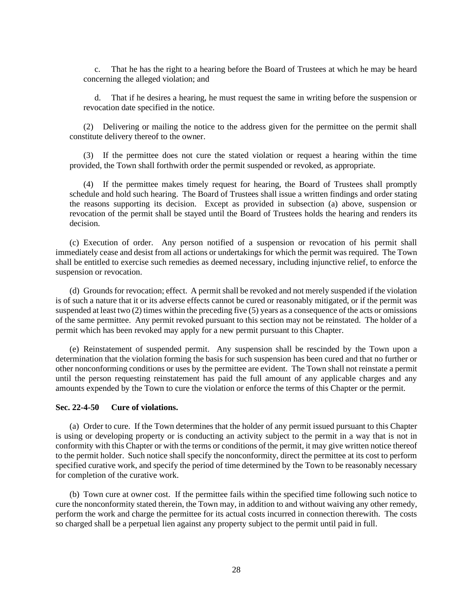c. That he has the right to a hearing before the Board of Trustees at which he may be heard concerning the alleged violation; and

d. That if he desires a hearing, he must request the same in writing before the suspension or revocation date specified in the notice.

(2) Delivering or mailing the notice to the address given for the permittee on the permit shall constitute delivery thereof to the owner.

(3) If the permittee does not cure the stated violation or request a hearing within the time provided, the Town shall forthwith order the permit suspended or revoked, as appropriate.

(4) If the permittee makes timely request for hearing, the Board of Trustees shall promptly schedule and hold such hearing. The Board of Trustees shall issue a written findings and order stating the reasons supporting its decision. Except as provided in subsection (a) above, suspension or revocation of the permit shall be stayed until the Board of Trustees holds the hearing and renders its decision.

(c) Execution of order. Any person notified of a suspension or revocation of his permit shall immediately cease and desist from all actions or undertakings for which the permit was required. The Town shall be entitled to exercise such remedies as deemed necessary, including injunctive relief, to enforce the suspension or revocation.

(d) Grounds for revocation; effect. A permit shall be revoked and not merely suspended if the violation is of such a nature that it or its adverse effects cannot be cured or reasonably mitigated, or if the permit was suspended at least two (2) times within the preceding five (5) years as a consequence of the acts or omissions of the same permittee. Any permit revoked pursuant to this section may not be reinstated. The holder of a permit which has been revoked may apply for a new permit pursuant to this Chapter.

(e) Reinstatement of suspended permit. Any suspension shall be rescinded by the Town upon a determination that the violation forming the basis for such suspension has been cured and that no further or other nonconforming conditions or uses by the permittee are evident. The Town shall not reinstate a permit until the person requesting reinstatement has paid the full amount of any applicable charges and any amounts expended by the Town to cure the violation or enforce the terms of this Chapter or the permit.

## <span id="page-31-0"></span>**Sec. 22-4-50 Cure of violations.**

(a) Order to cure. If the Town determines that the holder of any permit issued pursuant to this Chapter is using or developing property or is conducting an activity subject to the permit in a way that is not in conformity with this Chapter or with the terms or conditions of the permit, it may give written notice thereof to the permit holder. Such notice shall specify the nonconformity, direct the permittee at its cost to perform specified curative work, and specify the period of time determined by the Town to be reasonably necessary for completion of the curative work.

(b) Town cure at owner cost. If the permittee fails within the specified time following such notice to cure the nonconformity stated therein, the Town may, in addition to and without waiving any other remedy, perform the work and charge the permittee for its actual costs incurred in connection therewith. The costs so charged shall be a perpetual lien against any property subject to the permit until paid in full.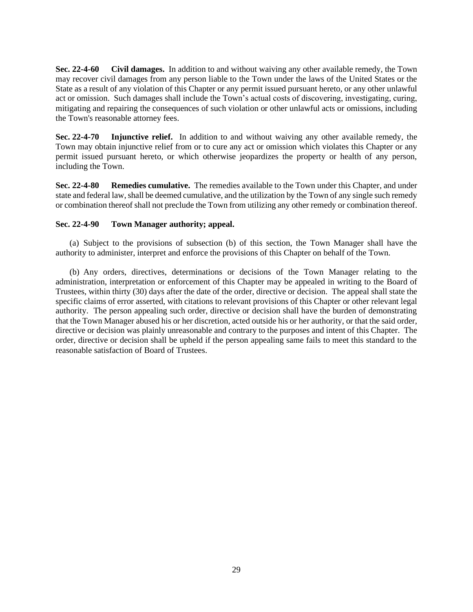**Sec. 22-4-60 Civil damages.** In addition to and without waiving any other available remedy, the Town may recover civil damages from any person liable to the Town under the laws of the United States or the State as a result of any violation of this Chapter or any permit issued pursuant hereto, or any other unlawful act or omission. Such damages shall include the Town's actual costs of discovering, investigating, curing, mitigating and repairing the consequences of such violation or other unlawful acts or omissions, including the Town's reasonable attorney fees.

**Sec. 22-4-70 Injunctive relief.** In addition to and without waiving any other available remedy, the Town may obtain injunctive relief from or to cure any act or omission which violates this Chapter or any permit issued pursuant hereto, or which otherwise jeopardizes the property or health of any person, including the Town.

**Sec. 22-4-80 Remedies cumulative.** The remedies available to the Town under this Chapter, and under state and federal law, shall be deemed cumulative, and the utilization by the Town of any single such remedy or combination thereof shall not preclude the Town from utilizing any other remedy or combination thereof.

## <span id="page-32-0"></span>**Sec. 22-4-90 Town Manager authority; appeal.**

(a) Subject to the provisions of subsection (b) of this section, the Town Manager shall have the authority to administer, interpret and enforce the provisions of this Chapter on behalf of the Town.

(b) Any orders, directives, determinations or decisions of the Town Manager relating to the administration, interpretation or enforcement of this Chapter may be appealed in writing to the Board of Trustees, within thirty (30) days after the date of the order, directive or decision. The appeal shall state the specific claims of error asserted, with citations to relevant provisions of this Chapter or other relevant legal authority. The person appealing such order, directive or decision shall have the burden of demonstrating that the Town Manager abused his or her discretion, acted outside his or her authority, or that the said order, directive or decision was plainly unreasonable and contrary to the purposes and intent of this Chapter. The order, directive or decision shall be upheld if the person appealing same fails to meet this standard to the reasonable satisfaction of Board of Trustees.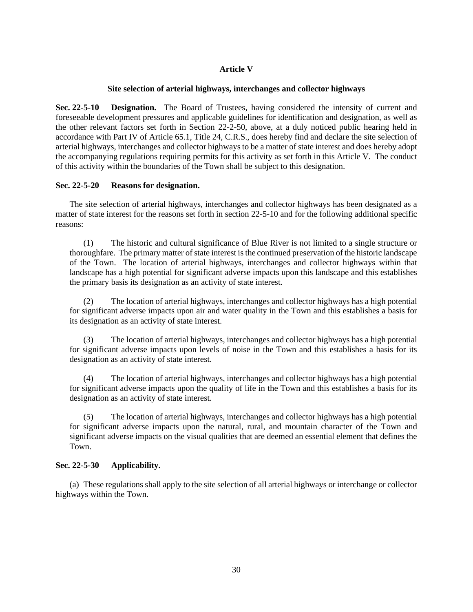# **Article V**

## **Site selection of arterial highways, interchanges and collector highways**

<span id="page-33-0"></span>**Sec. 22-5-10 Designation.** The Board of Trustees, having considered the intensity of current and foreseeable development pressures and applicable guidelines for identification and designation, as well as the other relevant factors set forth in Section 22-2-50, above, at a duly noticed public hearing held in accordance with Part IV of Article 65.1, Title 24, C.R.S., does hereby find and declare the site selection of arterial highways, interchanges and collector highwaysto be a matter of state interest and does hereby adopt the accompanying regulations requiring permits for this activity as set forth in this Article V. The conduct of this activity within the boundaries of the Town shall be subject to this designation.

# <span id="page-33-1"></span>**Sec. 22-5-20 Reasons for designation.**

The site selection of arterial highways, interchanges and collector highways has been designated as a matter of state interest for the reasons set forth in section 22-5-10 and for the following additional specific reasons:

(1) The historic and cultural significance of Blue River is not limited to a single structure or thoroughfare. The primary matter of state interest is the continued preservation of the historic landscape of the Town. The location of arterial highways, interchanges and collector highways within that landscape has a high potential for significant adverse impacts upon this landscape and this establishes the primary basis its designation as an activity of state interest.

(2) The location of arterial highways, interchanges and collector highways has a high potential for significant adverse impacts upon air and water quality in the Town and this establishes a basis for its designation as an activity of state interest.

(3) The location of arterial highways, interchanges and collector highways has a high potential for significant adverse impacts upon levels of noise in the Town and this establishes a basis for its designation as an activity of state interest.

(4) The location of arterial highways, interchanges and collector highways has a high potential for significant adverse impacts upon the quality of life in the Town and this establishes a basis for its designation as an activity of state interest.

(5) The location of arterial highways, interchanges and collector highways has a high potential for significant adverse impacts upon the natural, rural, and mountain character of the Town and significant adverse impacts on the visual qualities that are deemed an essential element that defines the Town.

# <span id="page-33-2"></span>**Sec. 22-5-30 Applicability.**

(a) These regulations shall apply to the site selection of all arterial highways or interchange or collector highways within the Town.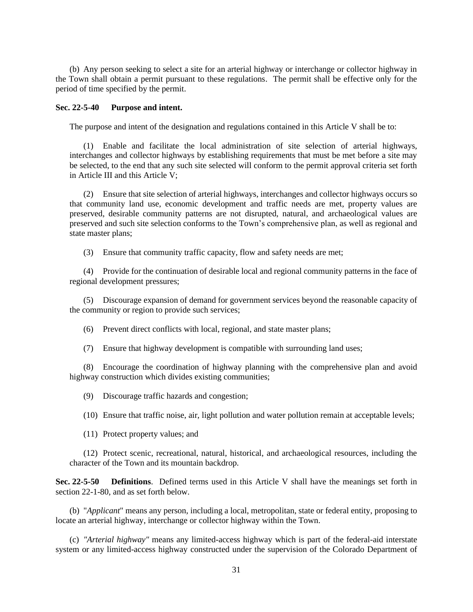(b) Any person seeking to select a site for an arterial highway or interchange or collector highway in the Town shall obtain a permit pursuant to these regulations. The permit shall be effective only for the period of time specified by the permit.

## <span id="page-34-0"></span>**Sec. 22-5-40 Purpose and intent.**

The purpose and intent of the designation and regulations contained in this Article V shall be to:

(1) Enable and facilitate the local administration of site selection of arterial highways, interchanges and collector highways by establishing requirements that must be met before a site may be selected, to the end that any such site selected will conform to the permit approval criteria set forth in Article III and this Article V;

(2) Ensure that site selection of arterial highways, interchanges and collector highways occurs so that community land use, economic development and traffic needs are met, property values are preserved, desirable community patterns are not disrupted, natural, and archaeological values are preserved and such site selection conforms to the Town's comprehensive plan, as well as regional and state master plans;

(3) Ensure that community traffic capacity, flow and safety needs are met;

(4) Provide for the continuation of desirable local and regional community patterns in the face of regional development pressures;

(5) Discourage expansion of demand for government services beyond the reasonable capacity of the community or region to provide such services;

(6) Prevent direct conflicts with local, regional, and state master plans;

(7) Ensure that highway development is compatible with surrounding land uses;

(8) Encourage the coordination of highway planning with the comprehensive plan and avoid highway construction which divides existing communities;

(9) Discourage traffic hazards and congestion;

(10) Ensure that traffic noise, air, light pollution and water pollution remain at acceptable levels;

(11) Protect property values; and

(12) Protect scenic, recreational, natural, historical, and archaeological resources, including the character of the Town and its mountain backdrop.

**Sec. 22-5-50 Definitions**. Defined terms used in this Article V shall have the meanings set forth in section 22-1-80, and as set forth below.

(b) "*Applicant*" means any person, including a local, metropolitan, state or federal entity, proposing to locate an arterial highway, interchange or collector highway within the Town.

(c) *"Arterial highway"* means any limited-access highway which is part of the federal-aid interstate system or any limited-access highway constructed under the supervision of the Colorado Department of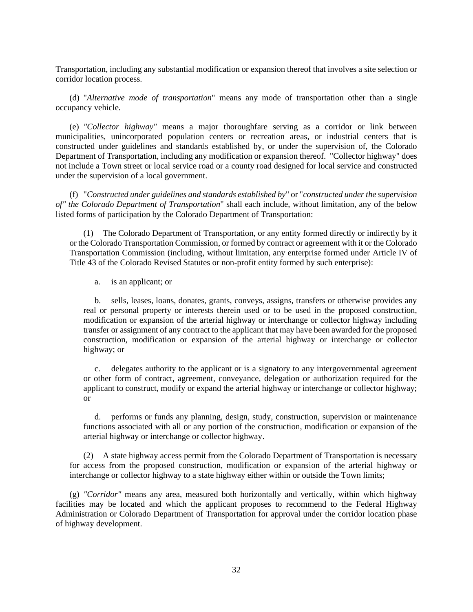Transportation, including any substantial modification or expansion thereof that involves a site selection or corridor location process.

(d) "*Alternative mode of transportation*" means any mode of transportation other than a single occupancy vehicle.

(e) *"Collector highway"* means a major thoroughfare serving as a corridor or link between municipalities, unincorporated population centers or recreation areas, or industrial centers that is constructed under guidelines and standards established by, or under the supervision of, the Colorado Department of Transportation, including any modification or expansion thereof. "Collector highway" does not include a Town street or local service road or a county road designed for local service and constructed under the supervision of a local government.

(f) "*Constructed under guidelines and standards established by*" or "*constructed under the supervision of" the Colorado Department of Transportation*" shall each include, without limitation, any of the below listed forms of participation by the Colorado Department of Transportation:

(1) The Colorado Department of Transportation, or any entity formed directly or indirectly by it or the Colorado Transportation Commission, or formed by contract or agreement with it or the Colorado Transportation Commission (including, without limitation, any enterprise formed under Article IV of Title 43 of the Colorado Revised Statutes or non-profit entity formed by such enterprise):

a. is an applicant; or

b. sells, leases, loans, donates, grants, conveys, assigns, transfers or otherwise provides any real or personal property or interests therein used or to be used in the proposed construction, modification or expansion of the arterial highway or interchange or collector highway including transfer or assignment of any contract to the applicant that may have been awarded for the proposed construction, modification or expansion of the arterial highway or interchange or collector highway; or

c. delegates authority to the applicant or is a signatory to any intergovernmental agreement or other form of contract, agreement, conveyance, delegation or authorization required for the applicant to construct, modify or expand the arterial highway or interchange or collector highway; or

d. performs or funds any planning, design, study, construction, supervision or maintenance functions associated with all or any portion of the construction, modification or expansion of the arterial highway or interchange or collector highway.

(2) A state highway access permit from the Colorado Department of Transportation is necessary for access from the proposed construction, modification or expansion of the arterial highway or interchange or collector highway to a state highway either within or outside the Town limits;

(g) *"Corridor"* means any area, measured both horizontally and vertically, within which highway facilities may be located and which the applicant proposes to recommend to the Federal Highway Administration or Colorado Department of Transportation for approval under the corridor location phase of highway development.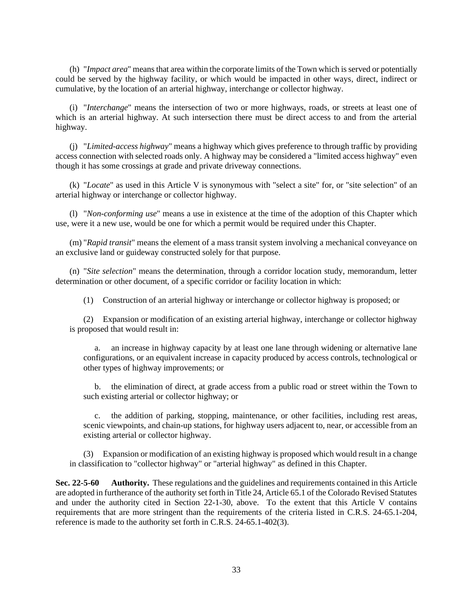(h) "*Impact area*" means that area within the corporate limits of the Town which is served or potentially could be served by the highway facility, or which would be impacted in other ways, direct, indirect or cumulative, by the location of an arterial highway, interchange or collector highway.

(i) "*Interchange*" means the intersection of two or more highways, roads, or streets at least one of which is an arterial highway. At such intersection there must be direct access to and from the arterial highway.

(j) "*Limited-access highway*" means a highway which gives preference to through traffic by providing access connection with selected roads only. A highway may be considered a "limited access highway" even though it has some crossings at grade and private driveway connections.

(k) "*Locate*" as used in this Article V is synonymous with "select a site" for, or "site selection" of an arterial highway or interchange or collector highway.

(l) "*Non-conforming use*" means a use in existence at the time of the adoption of this Chapter which use, were it a new use, would be one for which a permit would be required under this Chapter.

(m) "*Rapid transit*" means the element of a mass transit system involving a mechanical conveyance on an exclusive land or guideway constructed solely for that purpose.

(n) "*Site selection*" means the determination, through a corridor location study, memorandum, letter determination or other document, of a specific corridor or facility location in which:

(1) Construction of an arterial highway or interchange or collector highway is proposed; or

(2) Expansion or modification of an existing arterial highway, interchange or collector highway is proposed that would result in:

a. an increase in highway capacity by at least one lane through widening or alternative lane configurations, or an equivalent increase in capacity produced by access controls, technological or other types of highway improvements; or

b. the elimination of direct, at grade access from a public road or street within the Town to such existing arterial or collector highway; or

c. the addition of parking, stopping, maintenance, or other facilities, including rest areas, scenic viewpoints, and chain-up stations, for highway users adjacent to, near, or accessible from an existing arterial or collector highway.

(3) Expansion or modification of an existing highway is proposed which would result in a change in classification to "collector highway" or "arterial highway" as defined in this Chapter.

**Sec. 22-5-60 Authority.** These regulations and the guidelines and requirements contained in this Article are adopted in furtherance of the authority set forth in Title 24, Article 65.1 of the Colorado Revised Statutes and under the authority cited in Section 22-1-30, above. To the extent that this Article V contains requirements that are more stringent than the requirements of the criteria listed in C.R.S. 24-65.1-204, reference is made to the authority set forth in C.R.S. 24-65.1-402(3).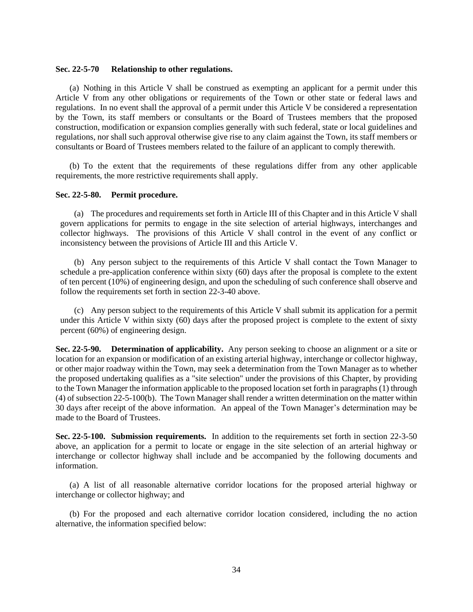#### <span id="page-37-0"></span>**Sec. 22-5-70 Relationship to other regulations.**

(a) Nothing in this Article V shall be construed as exempting an applicant for a permit under this Article V from any other obligations or requirements of the Town or other state or federal laws and regulations. In no event shall the approval of a permit under this Article V be considered a representation by the Town, its staff members or consultants or the Board of Trustees members that the proposed construction, modification or expansion complies generally with such federal, state or local guidelines and regulations, nor shall such approval otherwise give rise to any claim against the Town, its staff members or consultants or Board of Trustees members related to the failure of an applicant to comply therewith.

(b) To the extent that the requirements of these regulations differ from any other applicable requirements, the more restrictive requirements shall apply.

#### **Sec. 22-5-80. Permit procedure.**

(a) The procedures and requirements set forth in Article III of this Chapter and in this Article V shall govern applications for permits to engage in the site selection of arterial highways, interchanges and collector highways. The provisions of this Article V shall control in the event of any conflict or inconsistency between the provisions of Article III and this Article V.

(b) Any person subject to the requirements of this Article V shall contact the Town Manager to schedule a pre-application conference within sixty (60) days after the proposal is complete to the extent of ten percent (10%) of engineering design, and upon the scheduling of such conference shall observe and follow the requirements set forth in section 22-3-40 above.

(c) Any person subject to the requirements of this Article V shall submit its application for a permit under this Article V within sixty (60) days after the proposed project is complete to the extent of sixty percent (60%) of engineering design.

**Sec. 22-5-90. Determination of applicability.** Any person seeking to choose an alignment or a site or location for an expansion or modification of an existing arterial highway, interchange or collector highway, or other major roadway within the Town, may seek a determination from the Town Manager as to whether the proposed undertaking qualifies as a "site selection" under the provisions of this Chapter, by providing to the Town Manager the information applicable to the proposed location set forth in paragraphs (1) through (4) of subsection 22-5-100(b). The Town Manager shall render a written determination on the matter within 30 days after receipt of the above information. An appeal of the Town Manager's determination may be made to the Board of Trustees.

**Sec. 22-5-100. Submission requirements.** In addition to the requirements set forth in section 22-3-50 above, an application for a permit to locate or engage in the site selection of an arterial highway or interchange or collector highway shall include and be accompanied by the following documents and information.

(a) A list of all reasonable alternative corridor locations for the proposed arterial highway or interchange or collector highway; and

(b) For the proposed and each alternative corridor location considered, including the no action alternative, the information specified below: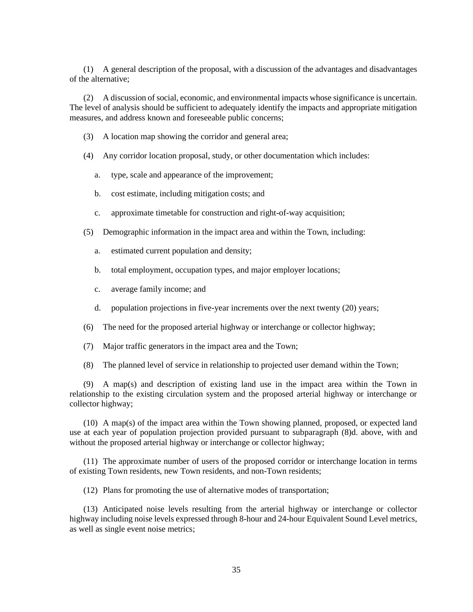(1) A general description of the proposal, with a discussion of the advantages and disadvantages of the alternative;

(2) A discussion of social, economic, and environmental impacts whose significance is uncertain. The level of analysis should be sufficient to adequately identify the impacts and appropriate mitigation measures, and address known and foreseeable public concerns;

- (3) A location map showing the corridor and general area;
- (4) Any corridor location proposal, study, or other documentation which includes:
	- a. type, scale and appearance of the improvement;
	- b. cost estimate, including mitigation costs; and
	- c. approximate timetable for construction and right-of-way acquisition;
- (5) Demographic information in the impact area and within the Town, including:
	- a. estimated current population and density;
	- b. total employment, occupation types, and major employer locations;
	- c. average family income; and
	- d. population projections in five-year increments over the next twenty (20) years;
- (6) The need for the proposed arterial highway or interchange or collector highway;
- (7) Major traffic generators in the impact area and the Town;
- (8) The planned level of service in relationship to projected user demand within the Town;

(9) A map(s) and description of existing land use in the impact area within the Town in relationship to the existing circulation system and the proposed arterial highway or interchange or collector highway;

(10) A map(s) of the impact area within the Town showing planned, proposed, or expected land use at each year of population projection provided pursuant to subparagraph (8)d. above, with and without the proposed arterial highway or interchange or collector highway;

(11) The approximate number of users of the proposed corridor or interchange location in terms of existing Town residents, new Town residents, and non-Town residents;

(12) Plans for promoting the use of alternative modes of transportation;

(13) Anticipated noise levels resulting from the arterial highway or interchange or collector highway including noise levels expressed through 8-hour and 24-hour Equivalent Sound Level metrics, as well as single event noise metrics;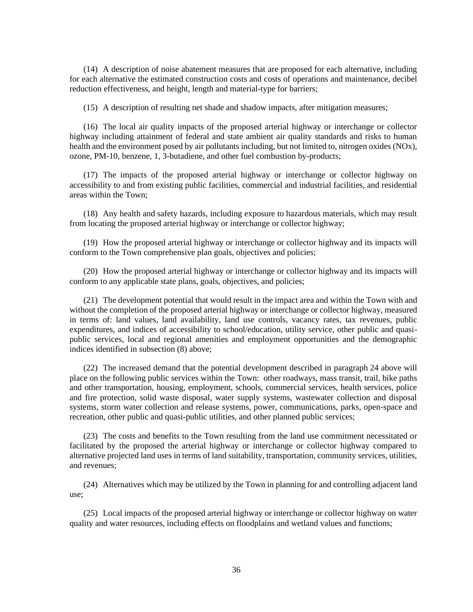(14) A description of noise abatement measures that are proposed for each alternative, including for each alternative the estimated construction costs and costs of operations and maintenance, decibel reduction effectiveness, and height, length and material-type for barriers;

(15) A description of resulting net shade and shadow impacts, after mitigation measures;

(16) The local air quality impacts of the proposed arterial highway or interchange or collector highway including attainment of federal and state ambient air quality standards and risks to human health and the environment posed by air pollutants including, but not limited to, nitrogen oxides (NOx), ozone, PM-10, benzene, 1, 3-butadiene, and other fuel combustion by-products;

(17) The impacts of the proposed arterial highway or interchange or collector highway on accessibility to and from existing public facilities, commercial and industrial facilities, and residential areas within the Town;

(18) Any health and safety hazards, including exposure to hazardous materials, which may result from locating the proposed arterial highway or interchange or collector highway;

(19) How the proposed arterial highway or interchange or collector highway and its impacts will conform to the Town comprehensive plan goals, objectives and policies;

(20) How the proposed arterial highway or interchange or collector highway and its impacts will conform to any applicable state plans, goals, objectives, and policies;

(21) The development potential that would result in the impact area and within the Town with and without the completion of the proposed arterial highway or interchange or collector highway, measured in terms of: land values, land availability, land use controls, vacancy rates, tax revenues, public expenditures, and indices of accessibility to school/education, utility service, other public and quasipublic services, local and regional amenities and employment opportunities and the demographic indices identified in subsection (8) above;

(22) The increased demand that the potential development described in paragraph 24 above will place on the following public services within the Town: other roadways, mass transit, trail, bike paths and other transportation, housing, employment, schools, commercial services, health services, police and fire protection, solid waste disposal, water supply systems, wastewater collection and disposal systems, storm water collection and release systems, power, communications, parks, open-space and recreation, other public and quasi-public utilities, and other planned public services;

(23) The costs and benefits to the Town resulting from the land use commitment necessitated or facilitated by the proposed the arterial highway or interchange or collector highway compared to alternative projected land uses in terms of land suitability, transportation, community services, utilities, and revenues;

(24) Alternatives which may be utilized by the Town in planning for and controlling adjacent land use;

(25) Local impacts of the proposed arterial highway or interchange or collector highway on water quality and water resources, including effects on floodplains and wetland values and functions;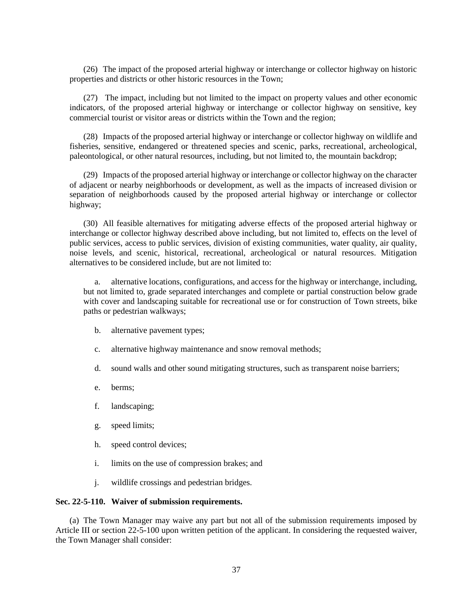(26) The impact of the proposed arterial highway or interchange or collector highway on historic properties and districts or other historic resources in the Town;

(27) The impact, including but not limited to the impact on property values and other economic indicators, of the proposed arterial highway or interchange or collector highway on sensitive, key commercial tourist or visitor areas or districts within the Town and the region;

(28) Impacts of the proposed arterial highway or interchange or collector highway on wildlife and fisheries, sensitive, endangered or threatened species and scenic, parks, recreational, archeological, paleontological, or other natural resources, including, but not limited to, the mountain backdrop;

(29) Impacts of the proposed arterial highway or interchange or collector highway on the character of adjacent or nearby neighborhoods or development, as well as the impacts of increased division or separation of neighborhoods caused by the proposed arterial highway or interchange or collector highway;

(30) All feasible alternatives for mitigating adverse effects of the proposed arterial highway or interchange or collector highway described above including, but not limited to, effects on the level of public services, access to public services, division of existing communities, water quality, air quality, noise levels, and scenic, historical, recreational, archeological or natural resources. Mitigation alternatives to be considered include, but are not limited to:

a. alternative locations, configurations, and access for the highway or interchange, including, but not limited to, grade separated interchanges and complete or partial construction below grade with cover and landscaping suitable for recreational use or for construction of Town streets, bike paths or pedestrian walkways;

- b. alternative pavement types;
- c. alternative highway maintenance and snow removal methods;
- d. sound walls and other sound mitigating structures, such as transparent noise barriers;
- e. berms;
- f. landscaping;
- g. speed limits;
- h. speed control devices;
- i. limits on the use of compression brakes; and
- j. wildlife crossings and pedestrian bridges.

## <span id="page-40-0"></span>**Sec. 22-5-110. Waiver of submission requirements.**

(a) The Town Manager may waive any part but not all of the submission requirements imposed by Article III or section 22-5-100 upon written petition of the applicant. In considering the requested waiver, the Town Manager shall consider: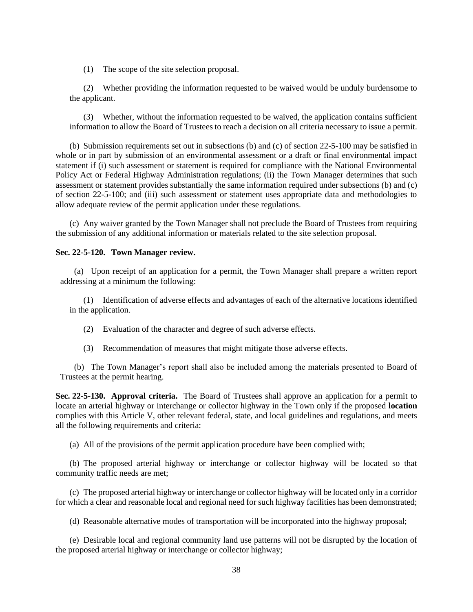(1) The scope of the site selection proposal.

(2) Whether providing the information requested to be waived would be unduly burdensome to the applicant.

(3) Whether, without the information requested to be waived, the application contains sufficient information to allow the Board of Trustees to reach a decision on all criteria necessary to issue a permit.

(b) Submission requirements set out in subsections (b) and (c) of section 22-5-100 may be satisfied in whole or in part by submission of an environmental assessment or a draft or final environmental impact statement if (i) such assessment or statement is required for compliance with the National Environmental Policy Act or Federal Highway Administration regulations; (ii) the Town Manager determines that such assessment or statement provides substantially the same information required under subsections (b) and (c) of section 22-5-100; and (iii) such assessment or statement uses appropriate data and methodologies to allow adequate review of the permit application under these regulations.

(c) Any waiver granted by the Town Manager shall not preclude the Board of Trustees from requiring the submission of any additional information or materials related to the site selection proposal.

## <span id="page-41-0"></span>**Sec. 22-5-120. Town Manager review.**

(a) Upon receipt of an application for a permit, the Town Manager shall prepare a written report addressing at a minimum the following:

(1) Identification of adverse effects and advantages of each of the alternative locations identified in the application.

(2) Evaluation of the character and degree of such adverse effects.

(3) Recommendation of measures that might mitigate those adverse effects.

(b) The Town Manager's report shall also be included among the materials presented to Board of Trustees at the permit hearing.

**Sec. 22-5-130. Approval criteria.** The Board of Trustees shall approve an application for a permit to locate an arterial highway or interchange or collector highway in the Town only if the proposed **location**  complies with this Article V, other relevant federal, state, and local guidelines and regulations, and meets all the following requirements and criteria:

(a) All of the provisions of the permit application procedure have been complied with;

(b) The proposed arterial highway or interchange or collector highway will be located so that community traffic needs are met;

(c) The proposed arterial highway or interchange or collector highway will be located only in a corridor for which a clear and reasonable local and regional need for such highway facilities has been demonstrated;

(d) Reasonable alternative modes of transportation will be incorporated into the highway proposal;

(e) Desirable local and regional community land use patterns will not be disrupted by the location of the proposed arterial highway or interchange or collector highway;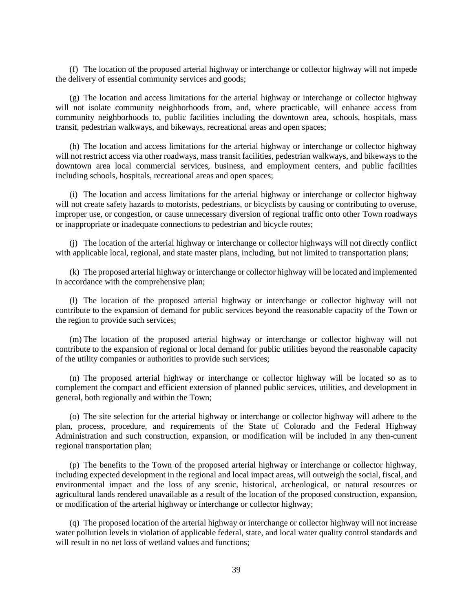(f) The location of the proposed arterial highway or interchange or collector highway will not impede the delivery of essential community services and goods;

(g) The location and access limitations for the arterial highway or interchange or collector highway will not isolate community neighborhoods from, and, where practicable, will enhance access from community neighborhoods to, public facilities including the downtown area, schools, hospitals, mass transit, pedestrian walkways, and bikeways, recreational areas and open spaces;

(h) The location and access limitations for the arterial highway or interchange or collector highway will not restrict access via other roadways, mass transit facilities, pedestrian walkways, and bikeways to the downtown area local commercial services, business, and employment centers, and public facilities including schools, hospitals, recreational areas and open spaces;

(i) The location and access limitations for the arterial highway or interchange or collector highway will not create safety hazards to motorists, pedestrians, or bicyclists by causing or contributing to overuse, improper use, or congestion, or cause unnecessary diversion of regional traffic onto other Town roadways or inappropriate or inadequate connections to pedestrian and bicycle routes;

(j) The location of the arterial highway or interchange or collector highways will not directly conflict with applicable local, regional, and state master plans, including, but not limited to transportation plans;

(k) The proposed arterial highway or interchange or collector highway will be located and implemented in accordance with the comprehensive plan;

(l) The location of the proposed arterial highway or interchange or collector highway will not contribute to the expansion of demand for public services beyond the reasonable capacity of the Town or the region to provide such services;

(m) The location of the proposed arterial highway or interchange or collector highway will not contribute to the expansion of regional or local demand for public utilities beyond the reasonable capacity of the utility companies or authorities to provide such services;

(n) The proposed arterial highway or interchange or collector highway will be located so as to complement the compact and efficient extension of planned public services, utilities, and development in general, both regionally and within the Town;

(o) The site selection for the arterial highway or interchange or collector highway will adhere to the plan, process, procedure, and requirements of the State of Colorado and the Federal Highway Administration and such construction, expansion, or modification will be included in any then-current regional transportation plan;

(p) The benefits to the Town of the proposed arterial highway or interchange or collector highway, including expected development in the regional and local impact areas, will outweigh the social, fiscal, and environmental impact and the loss of any scenic, historical, archeological, or natural resources or agricultural lands rendered unavailable as a result of the location of the proposed construction, expansion, or modification of the arterial highway or interchange or collector highway;

(q) The proposed location of the arterial highway or interchange or collector highway will not increase water pollution levels in violation of applicable federal, state, and local water quality control standards and will result in no net loss of wetland values and functions: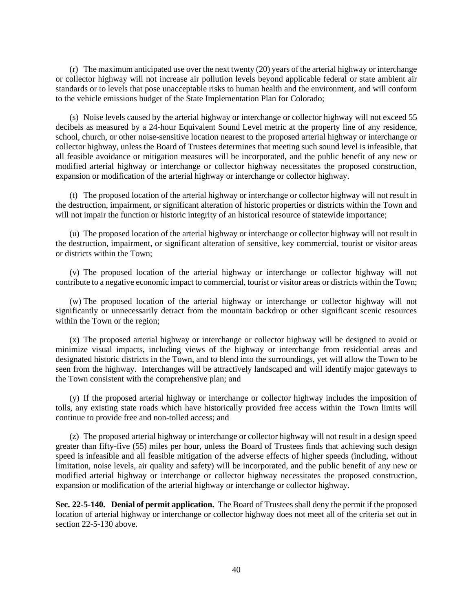(r) The maximum anticipated use over the next twenty (20) years of the arterial highway or interchange or collector highway will not increase air pollution levels beyond applicable federal or state ambient air standards or to levels that pose unacceptable risks to human health and the environment, and will conform to the vehicle emissions budget of the State Implementation Plan for Colorado;

(s) Noise levels caused by the arterial highway or interchange or collector highway will not exceed 55 decibels as measured by a 24-hour Equivalent Sound Level metric at the property line of any residence, school, church, or other noise-sensitive location nearest to the proposed arterial highway or interchange or collector highway, unless the Board of Trustees determines that meeting such sound level is infeasible, that all feasible avoidance or mitigation measures will be incorporated, and the public benefit of any new or modified arterial highway or interchange or collector highway necessitates the proposed construction, expansion or modification of the arterial highway or interchange or collector highway.

(t) The proposed location of the arterial highway or interchange or collector highway will not result in the destruction, impairment, or significant alteration of historic properties or districts within the Town and will not impair the function or historic integrity of an historical resource of statewide importance;

(u) The proposed location of the arterial highway or interchange or collector highway will not result in the destruction, impairment, or significant alteration of sensitive, key commercial, tourist or visitor areas or districts within the Town;

(v) The proposed location of the arterial highway or interchange or collector highway will not contribute to a negative economic impact to commercial, tourist or visitor areas or districts within the Town;

(w) The proposed location of the arterial highway or interchange or collector highway will not significantly or unnecessarily detract from the mountain backdrop or other significant scenic resources within the Town or the region;

(x) The proposed arterial highway or interchange or collector highway will be designed to avoid or minimize visual impacts, including views of the highway or interchange from residential areas and designated historic districts in the Town, and to blend into the surroundings, yet will allow the Town to be seen from the highway. Interchanges will be attractively landscaped and will identify major gateways to the Town consistent with the comprehensive plan; and

(y) If the proposed arterial highway or interchange or collector highway includes the imposition of tolls, any existing state roads which have historically provided free access within the Town limits will continue to provide free and non-tolled access; and

(z) The proposed arterial highway or interchange or collector highway will not result in a design speed greater than fifty-five (55) miles per hour, unless the Board of Trustees finds that achieving such design speed is infeasible and all feasible mitigation of the adverse effects of higher speeds (including, without limitation, noise levels, air quality and safety) will be incorporated, and the public benefit of any new or modified arterial highway or interchange or collector highway necessitates the proposed construction, expansion or modification of the arterial highway or interchange or collector highway.

**Sec. 22-5-140. Denial of permit application.** The Board of Trustees shall deny the permit if the proposed location of arterial highway or interchange or collector highway does not meet all of the criteria set out in section 22-5-130 above.